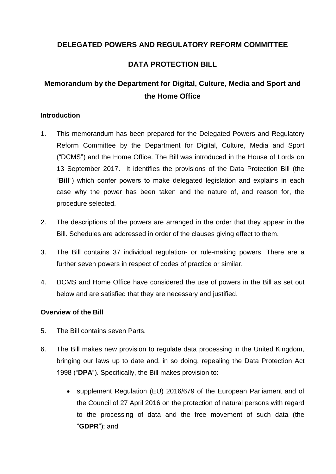# **DELEGATED POWERS AND REGULATORY REFORM COMMITTEE**

# **DATA PROTECTION BILL**

# **Memorandum by the Department for Digital, Culture, Media and Sport and the Home Office**

# **Introduction**

- 1. This memorandum has been prepared for the Delegated Powers and Regulatory Reform Committee by the Department for Digital, Culture, Media and Sport ("DCMS") and the Home Office. The Bill was introduced in the House of Lords on 13 September 2017. It identifies the provisions of the Data Protection Bill (the "**Bill**") which confer powers to make delegated legislation and explains in each case why the power has been taken and the nature of, and reason for, the procedure selected.
- 2. The descriptions of the powers are arranged in the order that they appear in the Bill. Schedules are addressed in order of the clauses giving effect to them.
- 3. The Bill contains 37 individual regulation- or rule-making powers. There are a further seven powers in respect of codes of practice or similar.
- 4. DCMS and Home Office have considered the use of powers in the Bill as set out below and are satisfied that they are necessary and justified.

# **Overview of the Bill**

- 5. The Bill contains seven Parts.
- 6. The Bill makes new provision to regulate data processing in the United Kingdom, bringing our laws up to date and, in so doing, repealing the Data Protection Act 1998 ("**DPA**"). Specifically, the Bill makes provision to:
	- supplement Regulation (EU) 2016/679 of the European Parliament and of the Council of 27 April 2016 on the protection of natural persons with regard to the processing of data and the free movement of such data (the "**GDPR**"); and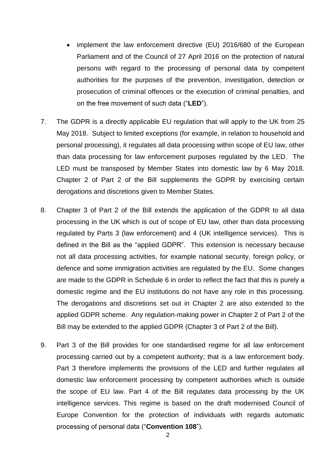- implement the law enforcement directive (EU) 2016/680 of the European Parliament and of the Council of 27 April 2016 on the protection of natural persons with regard to the processing of personal data by competent authorities for the purposes of the prevention, investigation, detection or prosecution of criminal offences or the execution of criminal penalties, and on the free movement of such data ("**LED**").
- 7. The GDPR is a directly applicable EU regulation that will apply to the UK from 25 May 2018. Subject to limited exceptions (for example, in relation to household and personal processing), it regulates all data processing within scope of EU law, other than data processing for law enforcement purposes regulated by the LED. The LED must be transposed by Member States into domestic law by 6 May 2018. Chapter 2 of Part 2 of the Bill supplements the GDPR by exercising certain derogations and discretions given to Member States.
- 8. Chapter 3 of Part 2 of the Bill extends the application of the GDPR to all data processing in the UK which is out of scope of EU law, other than data processing regulated by Parts 3 (law enforcement) and 4 (UK intelligence services). This is defined in the Bill as the "applied GDPR". This extension is necessary because not all data processing activities, for example national security, foreign policy, or defence and some immigration activities are regulated by the EU. Some changes are made to the GDPR in Schedule 6 in order to reflect the fact that this is purely a domestic regime and the EU institutions do not have any role in this processing. The derogations and discretions set out in Chapter 2 are also extended to the applied GDPR scheme. Any regulation-making power in Chapter 2 of Part 2 of the Bill may be extended to the applied GDPR (Chapter 3 of Part 2 of the Bill).
- 9. Part 3 of the Bill provides for one standardised regime for all law enforcement processing carried out by a competent authority; that is a law enforcement body. Part 3 therefore implements the provisions of the LED and further regulates all domestic law enforcement processing by competent authorities which is outside the scope of EU law. Part 4 of the Bill regulates data processing by the UK intelligence services. This regime is based on the draft modernised Council of Europe Convention for the protection of individuals with regards automatic processing of personal data ("**Convention 108**")*.*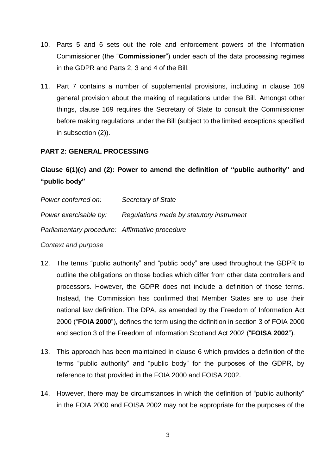- 10. Parts 5 and 6 sets out the role and enforcement powers of the Information Commissioner (the "**Commissioner**") under each of the data processing regimes in the GDPR and Parts 2, 3 and 4 of the Bill.
- 11. Part 7 contains a number of supplemental provisions, including in clause 169 general provision about the making of regulations under the Bill. Amongst other things, clause 169 requires the Secretary of State to consult the Commissioner before making regulations under the Bill (subject to the limited exceptions specified in subsection (2)).

# **PART 2: GENERAL PROCESSING**

# **Clause 6(1)(c) and (2): Power to amend the definition of "public authority" and "public body"**

| Power conferred on:                            | Secretary of State                       |
|------------------------------------------------|------------------------------------------|
| Power exercisable by:                          | Regulations made by statutory instrument |
| Parliamentary procedure: Affirmative procedure |                                          |

# *Context and purpose*

- 12. The terms "public authority" and "public body" are used throughout the GDPR to outline the obligations on those bodies which differ from other data controllers and processors. However, the GDPR does not include a definition of those terms. Instead, the Commission has confirmed that Member States are to use their national law definition. The DPA, as amended by the Freedom of Information Act 2000 ("**FOIA 2000**"), defines the term using the definition in section 3 of FOIA 2000 and section 3 of the Freedom of Information Scotland Act 2002 ("**FOISA 2002**").
- 13. This approach has been maintained in clause 6 which provides a definition of the terms "public authority" and "public body" for the purposes of the GDPR, by reference to that provided in the FOIA 2000 and FOISA 2002.
- 14. However, there may be circumstances in which the definition of "public authority" in the FOIA 2000 and FOISA 2002 may not be appropriate for the purposes of the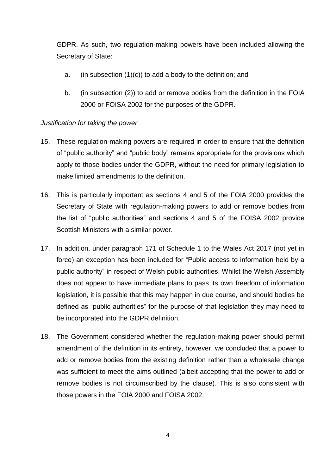GDPR. As such, two regulation-making powers have been included allowing the Secretary of State:

- a. (in subsection  $(1)(c)$ ) to add a body to the definition; and
- b. (in subsection (2)) to add or remove bodies from the definition in the FOIA 2000 or FOISA 2002 for the purposes of the GDPR.

# *Justification for taking the power*

- 15. These regulation-making powers are required in order to ensure that the definition of "public authority" and "public body" remains appropriate for the provisions which apply to those bodies under the GDPR, without the need for primary legislation to make limited amendments to the definition.
- 16. This is particularly important as sections 4 and 5 of the FOIA 2000 provides the Secretary of State with regulation-making powers to add or remove bodies from the list of "public authorities" and sections 4 and 5 of the FOISA 2002 provide Scottish Ministers with a similar power.
- 17. In addition, under paragraph 171 of Schedule 1 to the Wales Act 2017 (not yet in force) an exception has been included for "Public access to information held by a public authority" in respect of Welsh public authorities. Whilst the Welsh Assembly does not appear to have immediate plans to pass its own freedom of information legislation, it is possible that this may happen in due course, and should bodies be defined as "public authorities" for the purpose of that legislation they may need to be incorporated into the GDPR definition.
- 18. The Government considered whether the regulation-making power should permit amendment of the definition in its entirety, however, we concluded that a power to add or remove bodies from the existing definition rather than a wholesale change was sufficient to meet the aims outlined (albeit accepting that the power to add or remove bodies is not circumscribed by the clause). This is also consistent with those powers in the FOIA 2000 and FOISA 2002.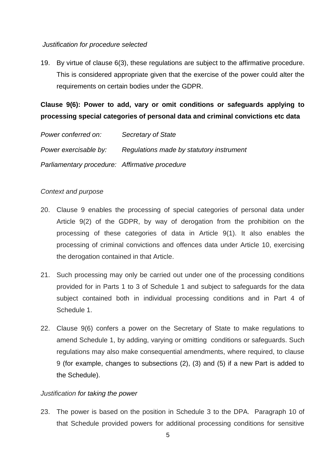### *Justification for procedure selected*

19. By virtue of clause 6(3), these regulations are subject to the affirmative procedure. This is considered appropriate given that the exercise of the power could alter the requirements on certain bodies under the GDPR.

**Clause 9(6): Power to add, vary or omit conditions or safeguards applying to processing special categories of personal data and criminal convictions etc data**

| Power conferred on:                            | Secretary of State                       |
|------------------------------------------------|------------------------------------------|
| Power exercisable by:                          | Regulations made by statutory instrument |
| Parliamentary procedure: Affirmative procedure |                                          |

# *Context and purpose*

- 20. Clause 9 enables the processing of special categories of personal data under Article 9(2) of the GDPR, by way of derogation from the prohibition on the processing of these categories of data in Article 9(1). It also enables the processing of criminal convictions and offences data under Article 10, exercising the derogation contained in that Article.
- 21. Such processing may only be carried out under one of the processing conditions provided for in Parts 1 to 3 of Schedule 1 and subject to safeguards for the data subject contained both in individual processing conditions and in Part 4 of Schedule 1.
- 22. Clause 9(6) confers a power on the Secretary of State to make regulations to amend Schedule 1, by adding, varying or omitting conditions or safeguards. Such regulations may also make consequential amendments, where required, to clause 9 (for example, changes to subsections (2), (3) and (5) if a new Part is added to the Schedule).

# *Justification for taking the power*

23. The power is based on the position in Schedule 3 to the DPA. Paragraph 10 of that Schedule provided powers for additional processing conditions for sensitive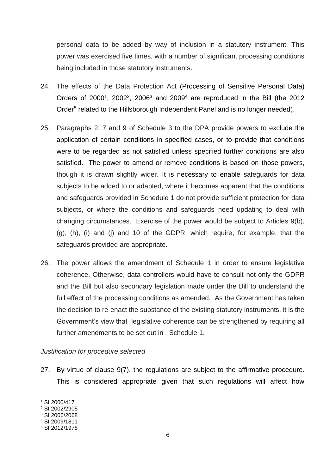personal data to be added by way of inclusion in a statutory instrument. This power was exercised five times, with a number of significant processing conditions being included in those statutory instruments.

- 24. The effects of the Data Protection Act (Processing of Sensitive Personal Data) Orders of 2000<sup>1</sup>, 2002<sup>2</sup>, 2006<sup>3</sup> and 2009<sup>4</sup> are reproduced in the Bill (the 2012 Order<sup>5</sup> related to the Hillsborough Independent Panel and is no longer needed).
- 25. Paragraphs 2, 7 and 9 of Schedule 3 to the DPA provide powers to exclude the application of certain conditions in specified cases, or to provide that conditions were to be regarded as not satisfied unless specified further conditions are also satisfied. The power to amend or remove conditions is based on those powers, though it is drawn slightly wider. It is necessary to enable safeguards for data subjects to be added to or adapted, where it becomes apparent that the conditions and safeguards provided in Schedule 1 do not provide sufficient protection for data subjects, or where the conditions and safeguards need updating to deal with changing circumstances. Exercise of the power would be subject to Articles 9(b), (g), (h), (i) and (j) and 10 of the GDPR, which require, for example, that the safeguards provided are appropriate.
- 26. The power allows the amendment of Schedule 1 in order to ensure legislative coherence. Otherwise, data controllers would have to consult not only the GDPR and the Bill but also secondary legislation made under the Bill to understand the full effect of the processing conditions as amended. As the Government has taken the decision to re-enact the substance of the existing statutory instruments, it is the Government's view that legislative coherence can be strengthened by requiring all further amendments to be set out in Schedule 1.

### *Justification for procedure selected*

27. By virtue of clause 9(7), the regulations are subject to the affirmative procedure. This is considered appropriate given that such regulations will affect how

-

<sup>1</sup> SI 2000/417

<sup>2</sup> SI 2002/2905 <sup>3</sup> SI 2006/2068

<sup>4</sup> SI 2009/1811

<sup>5</sup> SI 2012/1978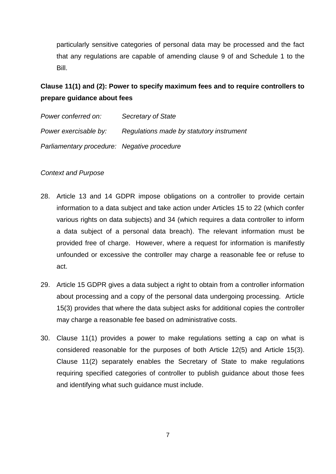particularly sensitive categories of personal data may be processed and the fact that any regulations are capable of amending clause 9 of and Schedule 1 to the Bill.

# **Clause 11(1) and (2): Power to specify maximum fees and to require controllers to prepare guidance about fees**

| Power conferred on:                         | <b>Secretary of State</b>                |
|---------------------------------------------|------------------------------------------|
| Power exercisable by:                       | Regulations made by statutory instrument |
| Parliamentary procedure: Negative procedure |                                          |

# *Context and Purpose*

- 28. Article 13 and 14 GDPR impose obligations on a controller to provide certain information to a data subject and take action under Articles 15 to 22 (which confer various rights on data subjects) and 34 (which requires a data controller to inform a data subject of a personal data breach). The relevant information must be provided free of charge. However, where a request for information is manifestly unfounded or excessive the controller may charge a reasonable fee or refuse to act.
- 29. Article 15 GDPR gives a data subject a right to obtain from a controller information about processing and a copy of the personal data undergoing processing. Article 15(3) provides that where the data subject asks for additional copies the controller may charge a reasonable fee based on administrative costs.
- 30. Clause 11(1) provides a power to make regulations setting a cap on what is considered reasonable for the purposes of both Article 12(5) and Article 15(3). Clause 11(2) separately enables the Secretary of State to make regulations requiring specified categories of controller to publish guidance about those fees and identifying what such guidance must include.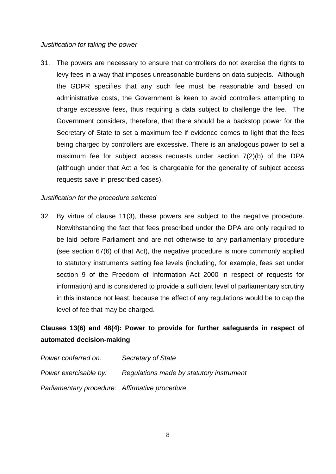### *Justification for taking the power*

31. The powers are necessary to ensure that controllers do not exercise the rights to levy fees in a way that imposes unreasonable burdens on data subjects. Although the GDPR specifies that any such fee must be reasonable and based on administrative costs, the Government is keen to avoid controllers attempting to charge excessive fees, thus requiring a data subject to challenge the fee. The Government considers, therefore, that there should be a backstop power for the Secretary of State to set a maximum fee if evidence comes to light that the fees being charged by controllers are excessive. There is an analogous power to set a maximum fee for subject access requests under section 7(2)(b) of the DPA (although under that Act a fee is chargeable for the generality of subject access requests save in prescribed cases).

### *Justification for the procedure selected*

32. By virtue of clause 11(3), these powers are subject to the negative procedure. Notwithstanding the fact that fees prescribed under the DPA are only required to be laid before Parliament and are not otherwise to any parliamentary procedure (see section 67(6) of that Act), the negative procedure is more commonly applied to statutory instruments setting fee levels (including, for example, fees set under section 9 of the Freedom of Information Act 2000 in respect of requests for information) and is considered to provide a sufficient level of parliamentary scrutiny in this instance not least, because the effect of any regulations would be to cap the level of fee that may be charged.

# **Clauses 13(6) and 48(4): Power to provide for further safeguards in respect of automated decision-making**

| Power conferred on:                            | Secretary of State                       |
|------------------------------------------------|------------------------------------------|
| Power exercisable by:                          | Regulations made by statutory instrument |
| Parliamentary procedure: Affirmative procedure |                                          |

8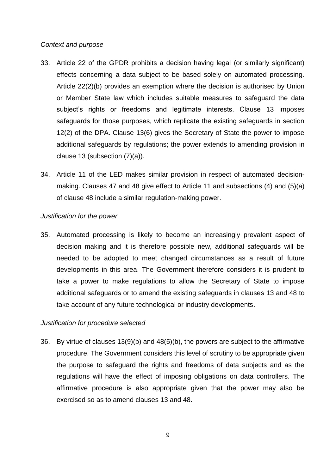## *Context and purpose*

- 33. Article 22 of the GPDR prohibits a decision having legal (or similarly significant) effects concerning a data subject to be based solely on automated processing. Article 22(2)(b) provides an exemption where the decision is authorised by Union or Member State law which includes suitable measures to safeguard the data subject's rights or freedoms and legitimate interests. Clause 13 imposes safeguards for those purposes, which replicate the existing safeguards in section 12(2) of the DPA. Clause 13(6) gives the Secretary of State the power to impose additional safeguards by regulations; the power extends to amending provision in clause 13 (subsection (7)(a)).
- 34. Article 11 of the LED makes similar provision in respect of automated decisionmaking. Clauses 47 and 48 give effect to Article 11 and subsections (4) and (5)(a) of clause 48 include a similar regulation-making power.

## *Justification for the power*

35. Automated processing is likely to become an increasingly prevalent aspect of decision making and it is therefore possible new, additional safeguards will be needed to be adopted to meet changed circumstances as a result of future developments in this area. The Government therefore considers it is prudent to take a power to make regulations to allow the Secretary of State to impose additional safeguards or to amend the existing safeguards in clauses 13 and 48 to take account of any future technological or industry developments.

# *Justification for procedure selected*

36. By virtue of clauses 13(9)(b) and 48(5)(b), the powers are subject to the affirmative procedure. The Government considers this level of scrutiny to be appropriate given the purpose to safeguard the rights and freedoms of data subjects and as the regulations will have the effect of imposing obligations on data controllers. The affirmative procedure is also appropriate given that the power may also be exercised so as to amend clauses 13 and 48.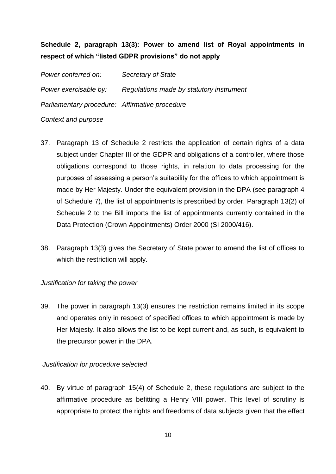# **Schedule 2, paragraph 13(3): Power to amend list of Royal appointments in respect of which "listed GDPR provisions" do not apply**

*Power conferred on: Secretary of State Power exercisable by: Regulations made by statutory instrument Parliamentary procedure: Affirmative procedure*

## *Context and purpose*

- 37. Paragraph 13 of Schedule 2 restricts the application of certain rights of a data subject under Chapter III of the GDPR and obligations of a controller, where those obligations correspond to those rights, in relation to data processing for the purposes of assessing a person's suitability for the offices to which appointment is made by Her Majesty. Under the equivalent provision in the DPA (see paragraph 4 of Schedule 7), the list of appointments is prescribed by order. Paragraph 13(2) of Schedule 2 to the Bill imports the list of appointments currently contained in the Data Protection (Crown Appointments) Order 2000 (SI 2000/416).
- 38. Paragraph 13(3) gives the Secretary of State power to amend the list of offices to which the restriction will apply.

# *Justification for taking the power*

39. The power in paragraph 13(3) ensures the restriction remains limited in its scope and operates only in respect of specified offices to which appointment is made by Her Majesty. It also allows the list to be kept current and, as such, is equivalent to the precursor power in the DPA.

# *Justification for procedure selected*

40. By virtue of paragraph 15(4) of Schedule 2, these regulations are subject to the affirmative procedure as befitting a Henry VIII power. This level of scrutiny is appropriate to protect the rights and freedoms of data subjects given that the effect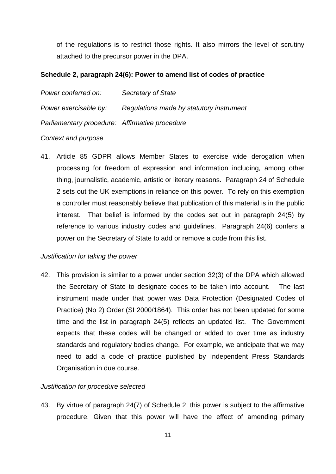of the regulations is to restrict those rights. It also mirrors the level of scrutiny attached to the precursor power in the DPA.

## **Schedule 2, paragraph 24(6): Power to amend list of codes of practice**

*Power conferred on: Secretary of State Power exercisable by: Regulations made by statutory instrument Parliamentary procedure: Affirmative procedure*

# *Context and purpose*

41. Article 85 GDPR allows Member States to exercise wide derogation when processing for freedom of expression and information including, among other thing, journalistic, academic, artistic or literary reasons. Paragraph 24 of Schedule 2 sets out the UK exemptions in reliance on this power. To rely on this exemption a controller must reasonably believe that publication of this material is in the public interest. That belief is informed by the codes set out in paragraph 24(5) by reference to various industry codes and guidelines. Paragraph 24(6) confers a power on the Secretary of State to add or remove a code from this list.

# *Justification for taking the power*

42. This provision is similar to a power under section 32(3) of the DPA which allowed the Secretary of State to designate codes to be taken into account. The last instrument made under that power was Data Protection (Designated Codes of Practice) (No 2) Order (SI 2000/1864). This order has not been updated for some time and the list in paragraph 24(5) reflects an updated list. The Government expects that these codes will be changed or added to over time as industry standards and regulatory bodies change. For example, we anticipate that we may need to add a code of practice published by Independent Press Standards Organisation in due course.

# *Justification for procedure selected*

43. By virtue of paragraph 24(7) of Schedule 2, this power is subject to the affirmative procedure. Given that this power will have the effect of amending primary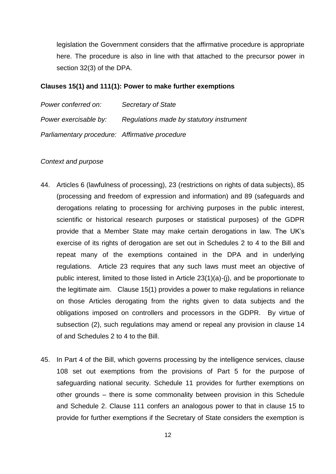legislation the Government considers that the affirmative procedure is appropriate here. The procedure is also in line with that attached to the precursor power in section 32(3) of the DPA.

### **Clauses 15(1) and 111(1): Power to make further exemptions**

| Power conferred on:                            | Secretary of State                       |
|------------------------------------------------|------------------------------------------|
| Power exercisable by:                          | Regulations made by statutory instrument |
| Parliamentary procedure: Affirmative procedure |                                          |

#### *Context and purpose*

- 44. Articles 6 (lawfulness of processing), 23 (restrictions on rights of data subjects), 85 (processing and freedom of expression and information) and 89 (safeguards and derogations relating to processing for archiving purposes in the public interest, scientific or historical research purposes or statistical purposes) of the GDPR provide that a Member State may make certain derogations in law. The UK's exercise of its rights of derogation are set out in Schedules 2 to 4 to the Bill and repeat many of the exemptions contained in the DPA and in underlying regulations. Article 23 requires that any such laws must meet an objective of public interest, limited to those listed in Article 23(1)(a)-(j), and be proportionate to the legitimate aim. Clause 15(1) provides a power to make regulations in reliance on those Articles derogating from the rights given to data subjects and the obligations imposed on controllers and processors in the GDPR. By virtue of subsection (2), such regulations may amend or repeal any provision in clause 14 of and Schedules 2 to 4 to the Bill.
- 45. In Part 4 of the Bill, which governs processing by the intelligence services, clause 108 set out exemptions from the provisions of Part 5 for the purpose of safeguarding national security. Schedule 11 provides for further exemptions on other grounds – there is some commonality between provision in this Schedule and Schedule 2. Clause 111 confers an analogous power to that in clause 15 to provide for further exemptions if the Secretary of State considers the exemption is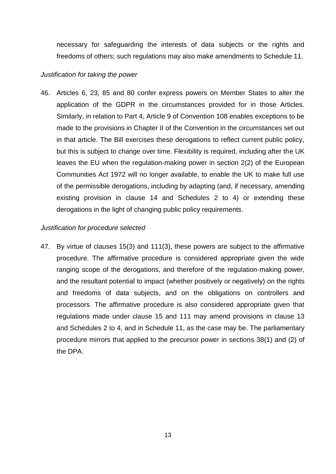necessary for safeguarding the interests of data subjects or the rights and freedoms of others; such regulations may also make amendments to Schedule 11.

### *Justification for taking the power*

46. Articles 6, 23, 85 and 80 confer express powers on Member States to alter the application of the GDPR in the circumstances provided for in those Articles. Similarly, in relation to Part 4, Article 9 of Convention 108 enables exceptions to be made to the provisions in Chapter II of the Convention in the circumstances set out in that article. The Bill exercises these derogations to reflect current public policy, but this is subject to change over time. Flexibility is required, including after the UK leaves the EU when the regulation-making power in section 2(2) of the European Communities Act 1972 will no longer available, to enable the UK to make full use of the permissible derogations, including by adapting (and, if necessary, amending existing provision in clause 14 and Schedules 2 to 4) or extending these derogations in the light of changing public policy requirements.

# *Justification for procedure selected*

47. By virtue of clauses 15(3) and 111(3), these powers are subject to the affirmative procedure. The affirmative procedure is considered appropriate given the wide ranging scope of the derogations, and therefore of the regulation-making power, and the resultant potential to impact (whether positively or negatively) on the rights and freedoms of data subjects, and on the obligations on controllers and processors. The affirmative procedure is also considered appropriate given that regulations made under clause 15 and 111 may amend provisions in clause 13 and Schedules 2 to 4, and in Schedule 11, as the case may be. The parliamentary procedure mirrors that applied to the precursor power in sections 38(1) and (2) of the DPA.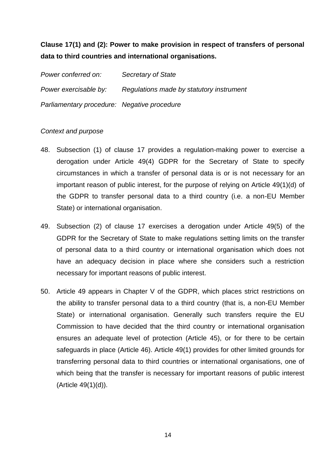# **Clause 17(1) and (2): Power to make provision in respect of transfers of personal data to third countries and international organisations.**

*Power conferred on: Secretary of State Power exercisable by: Regulations made by statutory instrument Parliamentary procedure: Negative procedure*

## *Context and purpose*

- 48. Subsection (1) of clause 17 provides a regulation-making power to exercise a derogation under Article 49(4) GDPR for the Secretary of State to specify circumstances in which a transfer of personal data is or is not necessary for an important reason of public interest, for the purpose of relying on Article 49(1)(d) of the GDPR to transfer personal data to a third country (i.e. a non-EU Member State) or international organisation.
- 49. Subsection (2) of clause 17 exercises a derogation under Article 49(5) of the GDPR for the Secretary of State to make regulations setting limits on the transfer of personal data to a third country or international organisation which does not have an adequacy decision in place where she considers such a restriction necessary for important reasons of public interest.
- 50. Article 49 appears in Chapter V of the GDPR, which places strict restrictions on the ability to transfer personal data to a third country (that is, a non-EU Member State) or international organisation. Generally such transfers require the EU Commission to have decided that the third country or international organisation ensures an adequate level of protection (Article 45), or for there to be certain safeguards in place (Article 46). Article 49(1) provides for other limited grounds for transferring personal data to third countries or international organisations, one of which being that the transfer is necessary for important reasons of public interest (Article 49(1)(d)).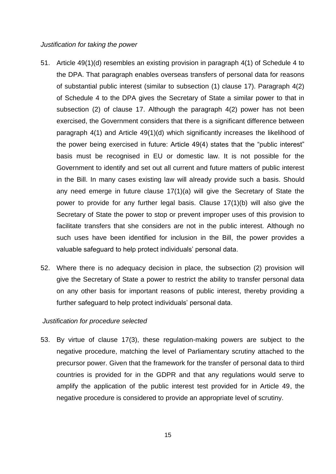#### *Justification for taking the power*

- 51. Article 49(1)(d) resembles an existing provision in paragraph 4(1) of Schedule 4 to the DPA. That paragraph enables overseas transfers of personal data for reasons of substantial public interest (similar to subsection (1) clause 17). Paragraph 4(2) of Schedule 4 to the DPA gives the Secretary of State a similar power to that in subsection (2) of clause 17. Although the paragraph 4(2) power has not been exercised, the Government considers that there is a significant difference between paragraph 4(1) and Article 49(1)(d) which significantly increases the likelihood of the power being exercised in future: Article 49(4) states that the "public interest" basis must be recognised in EU or domestic law. It is not possible for the Government to identify and set out all current and future matters of public interest in the Bill. In many cases existing law will already provide such a basis. Should any need emerge in future clause 17(1)(a) will give the Secretary of State the power to provide for any further legal basis. Clause 17(1)(b) will also give the Secretary of State the power to stop or prevent improper uses of this provision to facilitate transfers that she considers are not in the public interest. Although no such uses have been identified for inclusion in the Bill, the power provides a valuable safeguard to help protect individuals' personal data.
- 52. Where there is no adequacy decision in place, the subsection (2) provision will give the Secretary of State a power to restrict the ability to transfer personal data on any other basis for important reasons of public interest, thereby providing a further safeguard to help protect individuals' personal data.

#### *Justification for procedure selected*

53. By virtue of clause 17(3), these regulation-making powers are subject to the negative procedure, matching the level of Parliamentary scrutiny attached to the precursor power. Given that the framework for the transfer of personal data to third countries is provided for in the GDPR and that any regulations would serve to amplify the application of the public interest test provided for in Article 49, the negative procedure is considered to provide an appropriate level of scrutiny.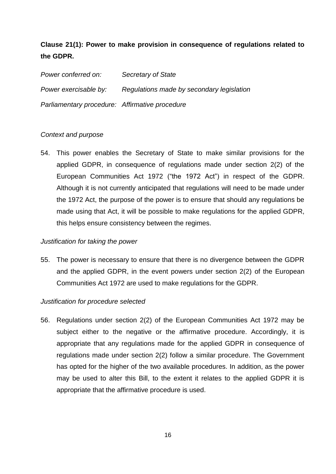# **Clause 21(1): Power to make provision in consequence of regulations related to the GDPR.**

*Power conferred on: Secretary of State Power exercisable by: Regulations made by secondary legislation Parliamentary procedure: Affirmative procedure*

## *Context and purpose*

54. This power enables the Secretary of State to make similar provisions for the applied GDPR, in consequence of regulations made under section 2(2) of the European Communities Act 1972 ("the 1972 Act") in respect of the GDPR. Although it is not currently anticipated that regulations will need to be made under the 1972 Act, the purpose of the power is to ensure that should any regulations be made using that Act, it will be possible to make regulations for the applied GDPR, this helps ensure consistency between the regimes.

### *Justification for taking the power*

55. The power is necessary to ensure that there is no divergence between the GDPR and the applied GDPR, in the event powers under section 2(2) of the European Communities Act 1972 are used to make regulations for the GDPR.

# *Justification for procedure selected*

56. Regulations under section 2(2) of the European Communities Act 1972 may be subject either to the negative or the affirmative procedure. Accordingly, it is appropriate that any regulations made for the applied GDPR in consequence of regulations made under section 2(2) follow a similar procedure. The Government has opted for the higher of the two available procedures. In addition, as the power may be used to alter this Bill, to the extent it relates to the applied GDPR it is appropriate that the affirmative procedure is used.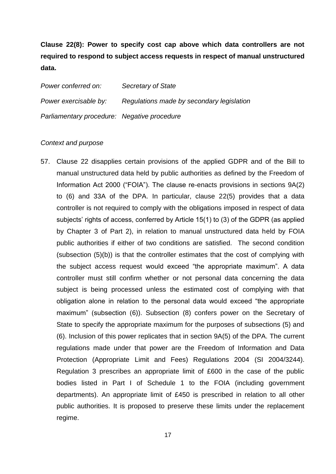**Clause 22(8): Power to specify cost cap above which data controllers are not required to respond to subject access requests in respect of manual unstructured data.**

*Power conferred on: Secretary of State Power exercisable by: Regulations made by secondary legislation Parliamentary procedure: Negative procedure*

#### *Context and purpose*

57. Clause 22 disapplies certain provisions of the applied GDPR and of the Bill to manual unstructured data held by public authorities as defined by the Freedom of Information Act 2000 ("FOIA"). The clause re-enacts provisions in sections 9A(2) to (6) and 33A of the DPA. In particular, clause 22(5) provides that a data controller is not required to comply with the obligations imposed in respect of data subjects' rights of access, conferred by Article 15(1) to (3) of the GDPR (as applied by Chapter 3 of Part 2), in relation to manual unstructured data held by FOIA public authorities if either of two conditions are satisfied. The second condition (subsection (5)(b)) is that the controller estimates that the cost of complying with the subject access request would exceed "the appropriate maximum". A data controller must still confirm whether or not personal data concerning the data subject is being processed unless the estimated cost of complying with that obligation alone in relation to the personal data would exceed "the appropriate maximum" (subsection (6)). Subsection (8) confers power on the Secretary of State to specify the appropriate maximum for the purposes of subsections (5) and (6). Inclusion of this power replicates that in section 9A(5) of the DPA. The current regulations made under that power are the Freedom of Information and Data Protection (Appropriate Limit and Fees) Regulations 2004 (SI 2004/3244). Regulation 3 prescribes an appropriate limit of £600 in the case of the public bodies listed in Part I of Schedule 1 to the FOIA (including government departments). An appropriate limit of £450 is prescribed in relation to all other public authorities. It is proposed to preserve these limits under the replacement regime.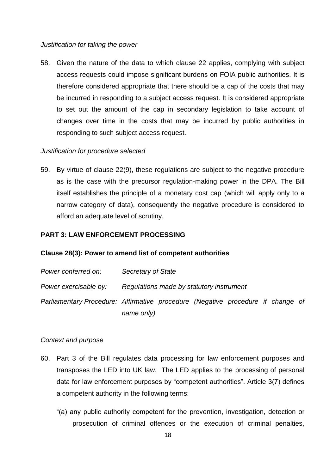### *Justification for taking the power*

58. Given the nature of the data to which clause 22 applies, complying with subject access requests could impose significant burdens on FOIA public authorities. It is therefore considered appropriate that there should be a cap of the costs that may be incurred in responding to a subject access request. It is considered appropriate to set out the amount of the cap in secondary legislation to take account of changes over time in the costs that may be incurred by public authorities in responding to such subject access request.

# *Justification for procedure selected*

59. By virtue of clause 22(9), these regulations are subject to the negative procedure as is the case with the precursor regulation-making power in the DPA. The Bill itself establishes the principle of a monetary cost cap (which will apply only to a narrow category of data), consequently the negative procedure is considered to afford an adequate level of scrutiny.

## **PART 3: LAW ENFORCEMENT PROCESSING**

### **Clause 28(3): Power to amend list of competent authorities**

| Power conferred on:   | Secretary of State                                                              |
|-----------------------|---------------------------------------------------------------------------------|
| Power exercisable by: | Regulations made by statutory instrument                                        |
|                       | Parliamentary Procedure: Affirmative procedure (Negative procedure if change of |
|                       | name only)                                                                      |

### *Context and purpose*

- 60. Part 3 of the Bill regulates data processing for law enforcement purposes and transposes the LED into UK law. The LED applies to the processing of personal data for law enforcement purposes by "competent authorities". Article 3(7) defines a competent authority in the following terms:
	- "(a) any public authority competent for the prevention, investigation, detection or prosecution of criminal offences or the execution of criminal penalties,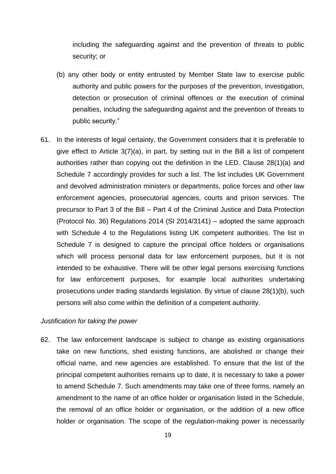including the safeguarding against and the prevention of threats to public security; or

- (b) any other body or entity entrusted by Member State law to exercise public authority and public powers for the purposes of the prevention, investigation, detection or prosecution of criminal offences or the execution of criminal penalties, including the safeguarding against and the prevention of threats to public security."
- 61. In the interests of legal certainty, the Government considers that it is preferable to give effect to Article 3(7)(a), in part, by setting out in the Bill a list of competent authorities rather than copying out the definition in the LED. Clause 28(1)(a) and Schedule 7 accordingly provides for such a list. The list includes UK Government and devolved administration ministers or departments, police forces and other law enforcement agencies, prosecutorial agencies, courts and prison services. The precursor to Part 3 of the Bill – Part 4 of the Criminal Justice and Data Protection (Protocol No. 36) Regulations 2014 (SI 2014/3141) – adopted the same approach with Schedule 4 to the Regulations listing UK competent authorities. The list in Schedule 7 is designed to capture the principal office holders or organisations which will process personal data for law enforcement purposes, but it is not intended to be exhaustive. There will be other legal persons exercising functions for law enforcement purposes, for example local authorities undertaking prosecutions under trading standards legislation. By virtue of clause 28(1)(b), such persons will also come within the definition of a competent authority.

### *Justification for taking the power*

62. The law enforcement landscape is subject to change as existing organisations take on new functions, shed existing functions, are abolished or change their official name, and new agencies are established. To ensure that the list of the principal competent authorities remains up to date, it is necessary to take a power to amend Schedule 7. Such amendments may take one of three forms, namely an amendment to the name of an office holder or organisation listed in the Schedule, the removal of an office holder or organisation, or the addition of a new office holder or organisation. The scope of the regulation-making power is necessarily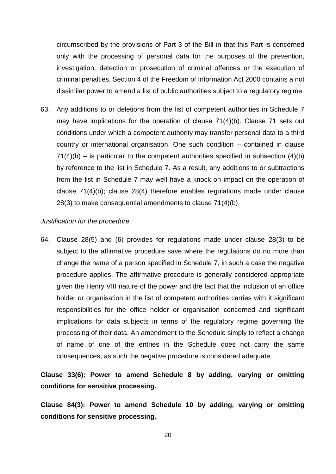circumscribed by the provisions of Part 3 of the Bill in that this Part is concerned only with the processing of personal data for the purposes of the prevention, investigation, detection or prosecution of criminal offences or the execution of criminal penalties. Section 4 of the Freedom of Information Act 2000 contains a not dissimilar power to amend a list of public authorities subject to a regulatory regime.

63. Any additions to or deletions from the list of competent authorities in Schedule 7 may have implications for the operation of clause 71(4)(b). Clause 71 sets out conditions under which a competent authority may transfer personal data to a third country or international organisation. One such condition – contained in clause  $71(4)(b)$  – is particular to the competent authorities specified in subsection  $(4)(b)$ by reference to the list in Schedule 7. As a result, any additions to or subtractions from the list in Schedule 7 may well have a knock on impact on the operation of clause 71(4)(b); clause 28(4) therefore enables regulations made under clause 28(3) to make consequential amendments to clause 71(4)(b).

#### *Justification for the procedure*

64. Clause 28(5) and (6) provides for regulations made under clause 28(3) to be subject to the affirmative procedure save where the regulations do no more than change the name of a person specified in Schedule 7, in such a case the negative procedure applies. The affirmative procedure is generally considered appropriate given the Henry VIII nature of the power and the fact that the inclusion of an office holder or organisation in the list of competent authorities carries with it significant responsibilities for the office holder or organisation concerned and significant implications for data subjects in terms of the regulatory regime governing the processing of their data. An amendment to the Schedule simply to reflect a change of name of one of the entries in the Schedule does not carry the same consequences, as such the negative procedure is considered adequate.

# **Clause 33(6): Power to amend Schedule 8 by adding, varying or omitting conditions for sensitive processing.**

**Clause 84(3): Power to amend Schedule 10 by adding, varying or omitting conditions for sensitive processing.**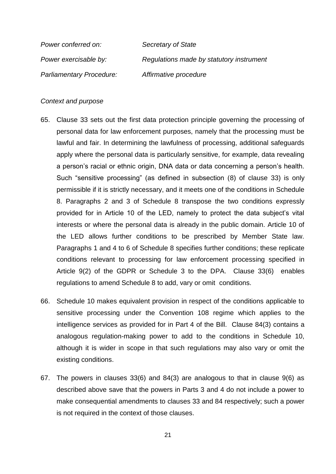| Power conferred on:      | Secretary of State                       |
|--------------------------|------------------------------------------|
| Power exercisable by:    | Regulations made by statutory instrument |
| Parliamentary Procedure: | Affirmative procedure                    |

#### *Context and purpose*

- 65. Clause 33 sets out the first data protection principle governing the processing of personal data for law enforcement purposes, namely that the processing must be lawful and fair. In determining the lawfulness of processing, additional safeguards apply where the personal data is particularly sensitive, for example, data revealing a person's racial or ethnic origin, DNA data or data concerning a person's health. Such "sensitive processing" (as defined in subsection (8) of clause 33) is only permissible if it is strictly necessary, and it meets one of the conditions in Schedule 8. Paragraphs 2 and 3 of Schedule 8 transpose the two conditions expressly provided for in Article 10 of the LED, namely to protect the data subject's vital interests or where the personal data is already in the public domain. Article 10 of the LED allows further conditions to be prescribed by Member State law. Paragraphs 1 and 4 to 6 of Schedule 8 specifies further conditions; these replicate conditions relevant to processing for law enforcement processing specified in Article 9(2) of the GDPR or Schedule 3 to the DPA. Clause 33(6) enables regulations to amend Schedule 8 to add, vary or omit conditions.
- 66. Schedule 10 makes equivalent provision in respect of the conditions applicable to sensitive processing under the Convention 108 regime which applies to the intelligence services as provided for in Part 4 of the Bill. Clause 84(3) contains a analogous regulation-making power to add to the conditions in Schedule 10, although it is wider in scope in that such regulations may also vary or omit the existing conditions.
- 67. The powers in clauses 33(6) and 84(3) are analogous to that in clause 9(6) as described above save that the powers in Parts 3 and 4 do not include a power to make consequential amendments to clauses 33 and 84 respectively; such a power is not required in the context of those clauses.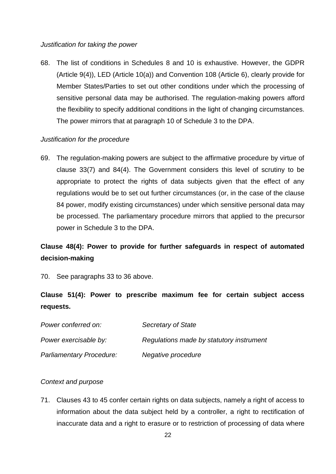### *Justification for taking the power*

68. The list of conditions in Schedules 8 and 10 is exhaustive. However, the GDPR (Article 9(4)), LED (Article 10(a)) and Convention 108 (Article 6), clearly provide for Member States/Parties to set out other conditions under which the processing of sensitive personal data may be authorised. The regulation-making powers afford the flexibility to specify additional conditions in the light of changing circumstances. The power mirrors that at paragraph 10 of Schedule 3 to the DPA.

# *Justification for the procedure*

69. The regulation-making powers are subject to the affirmative procedure by virtue of clause 33(7) and 84(4). The Government considers this level of scrutiny to be appropriate to protect the rights of data subjects given that the effect of any regulations would be to set out further circumstances (or, in the case of the clause 84 power, modify existing circumstances) under which sensitive personal data may be processed. The parliamentary procedure mirrors that applied to the precursor power in Schedule 3 to the DPA.

# **Clause 48(4): Power to provide for further safeguards in respect of automated decision-making**

70. See paragraphs 33 to 36 above.

# **Clause 51(4): Power to prescribe maximum fee for certain subject access requests.**

| Power conferred on:             | Secretary of State                       |
|---------------------------------|------------------------------------------|
| Power exercisable by:           | Regulations made by statutory instrument |
| <b>Parliamentary Procedure:</b> | Negative procedure                       |

# *Context and purpose*

71. Clauses 43 to 45 confer certain rights on data subjects, namely a right of access to information about the data subject held by a controller, a right to rectification of inaccurate data and a right to erasure or to restriction of processing of data where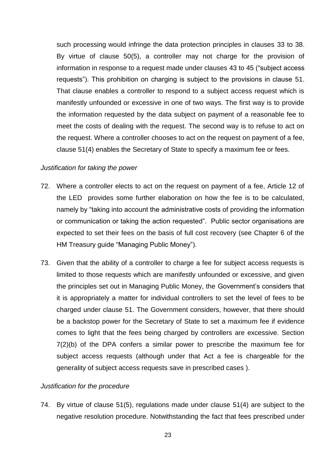such processing would infringe the data protection principles in clauses 33 to 38. By virtue of clause 50(5), a controller may not charge for the provision of information in response to a request made under clauses 43 to 45 ("subject access requests"). This prohibition on charging is subject to the provisions in clause 51. That clause enables a controller to respond to a subject access request which is manifestly unfounded or excessive in one of two ways. The first way is to provide the information requested by the data subject on payment of a reasonable fee to meet the costs of dealing with the request. The second way is to refuse to act on the request. Where a controller chooses to act on the request on payment of a fee, clause 51(4) enables the Secretary of State to specify a maximum fee or fees.

### *Justification for taking the power*

- 72. Where a controller elects to act on the request on payment of a fee, Article 12 of the LED provides some further elaboration on how the fee is to be calculated, namely by "taking into account the administrative costs of providing the information or communication or taking the action requested". Public sector organisations are expected to set their fees on the basis of full cost recovery (see Chapter 6 of the HM Treasury guide "Managing Public Money").
- 73. Given that the ability of a controller to charge a fee for subject access requests is limited to those requests which are manifestly unfounded or excessive, and given the principles set out in Managing Public Money, the Government's considers that it is appropriately a matter for individual controllers to set the level of fees to be charged under clause 51. The Government considers, however, that there should be a backstop power for the Secretary of State to set a maximum fee if evidence comes to light that the fees being charged by controllers are excessive. Section 7(2)(b) of the DPA confers a similar power to prescribe the maximum fee for subject access requests (although under that Act a fee is chargeable for the generality of subject access requests save in prescribed cases ).

### *Justification for the procedure*

74. By virtue of clause 51(5), regulations made under clause 51(4) are subject to the negative resolution procedure. Notwithstanding the fact that fees prescribed under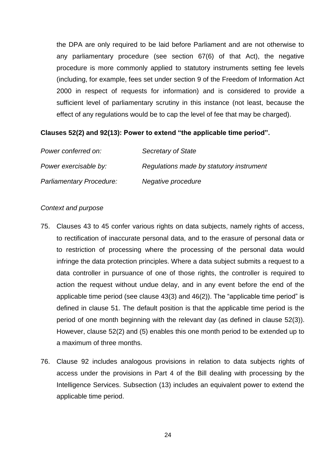the DPA are only required to be laid before Parliament and are not otherwise to any parliamentary procedure (see section 67(6) of that Act), the negative procedure is more commonly applied to statutory instruments setting fee levels (including, for example, fees set under section 9 of the Freedom of Information Act 2000 in respect of requests for information) and is considered to provide a sufficient level of parliamentary scrutiny in this instance (not least, because the effect of any regulations would be to cap the level of fee that may be charged).

### **Clauses 52(2) and 92(13): Power to extend "the applicable time period".**

| Power conferred on:             | Secretary of State                       |
|---------------------------------|------------------------------------------|
| Power exercisable by:           | Regulations made by statutory instrument |
| <b>Parliamentary Procedure:</b> | Negative procedure                       |

#### *Context and purpose*

- 75. Clauses 43 to 45 confer various rights on data subjects, namely rights of access, to rectification of inaccurate personal data, and to the erasure of personal data or to restriction of processing where the processing of the personal data would infringe the data protection principles. Where a data subject submits a request to a data controller in pursuance of one of those rights, the controller is required to action the request without undue delay, and in any event before the end of the applicable time period (see clause 43(3) and 46(2)). The "applicable time period" is defined in clause 51. The default position is that the applicable time period is the period of one month beginning with the relevant day (as defined in clause 52(3)). However, clause 52(2) and (5) enables this one month period to be extended up to a maximum of three months.
- 76. Clause 92 includes analogous provisions in relation to data subjects rights of access under the provisions in Part 4 of the Bill dealing with processing by the Intelligence Services. Subsection (13) includes an equivalent power to extend the applicable time period.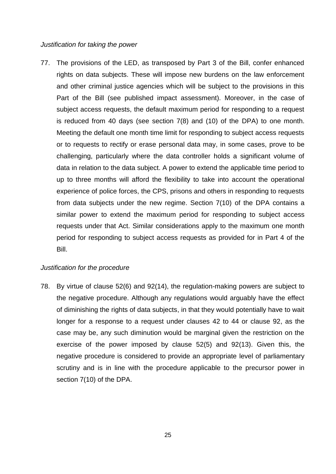#### *Justification for taking the power*

77. The provisions of the LED, as transposed by Part 3 of the Bill, confer enhanced rights on data subjects. These will impose new burdens on the law enforcement and other criminal justice agencies which will be subject to the provisions in this Part of the Bill (see published impact assessment). Moreover, in the case of subject access requests, the default maximum period for responding to a request is reduced from 40 days (see section 7(8) and (10) of the DPA) to one month. Meeting the default one month time limit for responding to subject access requests or to requests to rectify or erase personal data may, in some cases, prove to be challenging, particularly where the data controller holds a significant volume of data in relation to the data subject. A power to extend the applicable time period to up to three months will afford the flexibility to take into account the operational experience of police forces, the CPS, prisons and others in responding to requests from data subjects under the new regime. Section 7(10) of the DPA contains a similar power to extend the maximum period for responding to subject access requests under that Act. Similar considerations apply to the maximum one month period for responding to subject access requests as provided for in Part 4 of the Bill.

## *Justification for the procedure*

78. By virtue of clause 52(6) and 92(14), the regulation-making powers are subject to the negative procedure. Although any regulations would arguably have the effect of diminishing the rights of data subjects, in that they would potentially have to wait longer for a response to a request under clauses 42 to 44 or clause 92, as the case may be, any such diminution would be marginal given the restriction on the exercise of the power imposed by clause 52(5) and 92(13). Given this, the negative procedure is considered to provide an appropriate level of parliamentary scrutiny and is in line with the procedure applicable to the precursor power in section 7(10) of the DPA.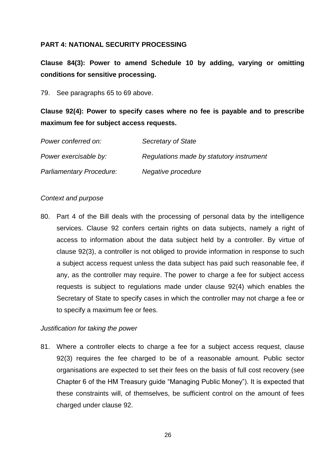# **PART 4: NATIONAL SECURITY PROCESSING**

**Clause 84(3): Power to amend Schedule 10 by adding, varying or omitting conditions for sensitive processing.** 

79. See paragraphs 65 to 69 above.

**Clause 92(4): Power to specify cases where no fee is payable and to prescribe maximum fee for subject access requests.** 

| Power conferred on:             | Secretary of State                       |
|---------------------------------|------------------------------------------|
| Power exercisable by:           | Regulations made by statutory instrument |
| <b>Parliamentary Procedure:</b> | Negative procedure                       |

## *Context and purpose*

80. Part 4 of the Bill deals with the processing of personal data by the intelligence services. Clause 92 confers certain rights on data subjects, namely a right of access to information about the data subject held by a controller. By virtue of clause 92(3), a controller is not obliged to provide information in response to such a subject access request unless the data subject has paid such reasonable fee, if any, as the controller may require. The power to charge a fee for subject access requests is subject to regulations made under clause 92(4) which enables the Secretary of State to specify cases in which the controller may not charge a fee or to specify a maximum fee or fees.

# *Justification for taking the power*

81. Where a controller elects to charge a fee for a subject access request, clause 92(3) requires the fee charged to be of a reasonable amount. Public sector organisations are expected to set their fees on the basis of full cost recovery (see Chapter 6 of the HM Treasury guide "Managing Public Money"). It is expected that these constraints will, of themselves, be sufficient control on the amount of fees charged under clause 92.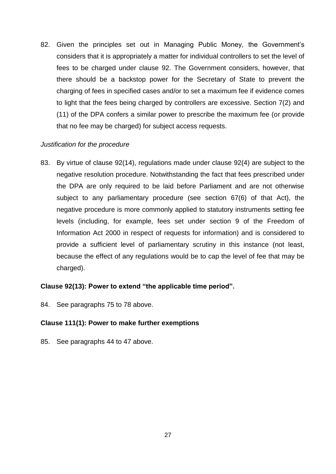82. Given the principles set out in Managing Public Money, the Government's considers that it is appropriately a matter for individual controllers to set the level of fees to be charged under clause 92. The Government considers, however, that there should be a backstop power for the Secretary of State to prevent the charging of fees in specified cases and/or to set a maximum fee if evidence comes to light that the fees being charged by controllers are excessive. Section 7(2) and (11) of the DPA confers a similar power to prescribe the maximum fee (or provide that no fee may be charged) for subject access requests.

# *Justification for the procedure*

83. By virtue of clause 92(14), regulations made under clause 92(4) are subject to the negative resolution procedure. Notwithstanding the fact that fees prescribed under the DPA are only required to be laid before Parliament and are not otherwise subject to any parliamentary procedure (see section 67(6) of that Act), the negative procedure is more commonly applied to statutory instruments setting fee levels (including, for example, fees set under section 9 of the Freedom of Information Act 2000 in respect of requests for information) and is considered to provide a sufficient level of parliamentary scrutiny in this instance (not least, because the effect of any regulations would be to cap the level of fee that may be charged).

# **Clause 92(13): Power to extend "the applicable time period".**

84. See paragraphs 75 to 78 above.

### **Clause 111(1): Power to make further exemptions**

85. See paragraphs 44 to 47 above.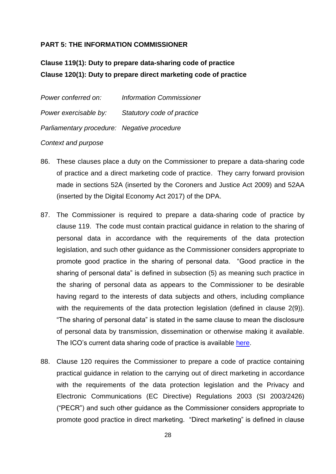# **PART 5: THE INFORMATION COMMISSIONER**

# **Clause 119(1): Duty to prepare data-sharing code of practice Clause 120(1): Duty to prepare direct marketing code of practice**

| Power conferred on:                         | <b>Information Commissioner</b> |
|---------------------------------------------|---------------------------------|
| Power exercisable by:                       | Statutory code of practice      |
| Parliamentary procedure: Negative procedure |                                 |
|                                             |                                 |

### *Context and purpose*

- 86. These clauses place a duty on the Commissioner to prepare a data-sharing code of practice and a direct marketing code of practice. They carry forward provision made in sections 52A (inserted by the Coroners and Justice Act 2009) and 52AA (inserted by the Digital Economy Act 2017) of the DPA.
- 87. The Commissioner is required to prepare a data-sharing code of practice by clause 119. The code must contain practical guidance in relation to the sharing of personal data in accordance with the requirements of the data protection legislation, and such other guidance as the Commissioner considers appropriate to promote good practice in the sharing of personal data. "Good practice in the sharing of personal data" is defined in subsection (5) as meaning such practice in the sharing of personal data as appears to the Commissioner to be desirable having regard to the interests of data subjects and others, including compliance with the requirements of the data protection legislation (defined in clause 2(9)). "The sharing of personal data" is stated in the same clause to mean the disclosure of personal data by transmission, dissemination or otherwise making it available. The ICO's current data sharing code of practice is available [here.](https://ico.org.uk/for-organisations/guide-to-data-protection/data-sharing/)
- 88. Clause 120 requires the Commissioner to prepare a code of practice containing practical guidance in relation to the carrying out of direct marketing in accordance with the requirements of the data protection legislation and the Privacy and Electronic Communications (EC Directive) Regulations 2003 (SI 2003/2426) ("PECR") and such other guidance as the Commissioner considers appropriate to promote good practice in direct marketing. "Direct marketing" is defined in clause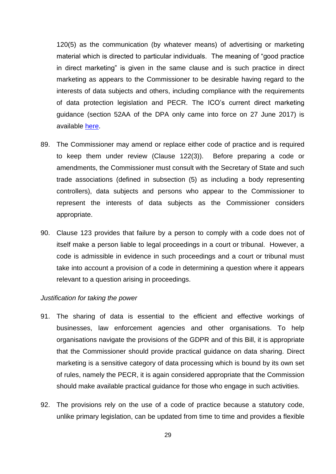120(5) as the communication (by whatever means) of advertising or marketing material which is directed to particular individuals. The meaning of "good practice in direct marketing" is given in the same clause and is such practice in direct marketing as appears to the Commissioner to be desirable having regard to the interests of data subjects and others, including compliance with the requirements of data protection legislation and PECR. The ICO's current direct marketing guidance (section 52AA of the DPA only came into force on 27 June 2017) is available [here.](https://ico.org.uk/media/for-organisations/documents/1555/direct-marketing-guidance.pdf)

- 89. The Commissioner may amend or replace either code of practice and is required to keep them under review (Clause 122(3)). Before preparing a code or amendments, the Commissioner must consult with the Secretary of State and such trade associations (defined in subsection (5) as including a body representing controllers), data subjects and persons who appear to the Commissioner to represent the interests of data subjects as the Commissioner considers appropriate.
- 90. Clause 123 provides that failure by a person to comply with a code does not of itself make a person liable to legal proceedings in a court or tribunal. However, a code is admissible in evidence in such proceedings and a court or tribunal must take into account a provision of a code in determining a question where it appears relevant to a question arising in proceedings.

#### *Justification for taking the power*

- 91. The sharing of data is essential to the efficient and effective workings of businesses, law enforcement agencies and other organisations. To help organisations navigate the provisions of the GDPR and of this Bill, it is appropriate that the Commissioner should provide practical guidance on data sharing. Direct marketing is a sensitive category of data processing which is bound by its own set of rules, namely the PECR, it is again considered appropriate that the Commission should make available practical guidance for those who engage in such activities.
- 92. The provisions rely on the use of a code of practice because a statutory code, unlike primary legislation, can be updated from time to time and provides a flexible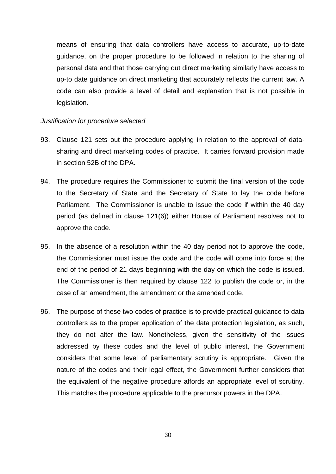means of ensuring that data controllers have access to accurate, up-to-date guidance, on the proper procedure to be followed in relation to the sharing of personal data and that those carrying out direct marketing similarly have access to up-to date guidance on direct marketing that accurately reflects the current law. A code can also provide a level of detail and explanation that is not possible in legislation.

#### *Justification for procedure selected*

- 93. Clause 121 sets out the procedure applying in relation to the approval of datasharing and direct marketing codes of practice. It carries forward provision made in section 52B of the DPA.
- 94. The procedure requires the Commissioner to submit the final version of the code to the Secretary of State and the Secretary of State to lay the code before Parliament. The Commissioner is unable to issue the code if within the 40 day period (as defined in clause 121(6)) either House of Parliament resolves not to approve the code.
- 95. In the absence of a resolution within the 40 day period not to approve the code, the Commissioner must issue the code and the code will come into force at the end of the period of 21 days beginning with the day on which the code is issued. The Commissioner is then required by clause 122 to publish the code or, in the case of an amendment, the amendment or the amended code.
- 96. The purpose of these two codes of practice is to provide practical guidance to data controllers as to the proper application of the data protection legislation, as such, they do not alter the law. Nonetheless, given the sensitivity of the issues addressed by these codes and the level of public interest, the Government considers that some level of parliamentary scrutiny is appropriate. Given the nature of the codes and their legal effect, the Government further considers that the equivalent of the negative procedure affords an appropriate level of scrutiny. This matches the procedure applicable to the precursor powers in the DPA.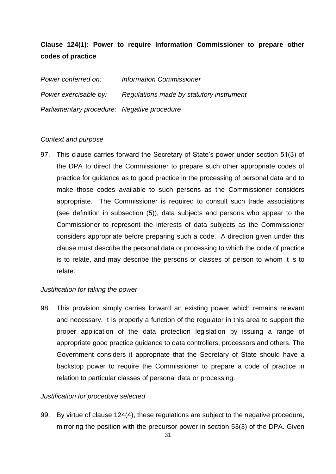# **Clause 124(1): Power to require Information Commissioner to prepare other codes of practice**

*Power conferred on: Information Commissioner Power exercisable by: Regulations made by statutory instrument Parliamentary procedure: Negative procedure*

## *Context and purpose*

97. This clause carries forward the Secretary of State's power under section 51(3) of the DPA to direct the Commissioner to prepare such other appropriate codes of practice for guidance as to good practice in the processing of personal data and to make those codes available to such persons as the Commissioner considers appropriate. The Commissioner is required to consult such trade associations (see definition in subsection (5)), data subjects and persons who appear to the Commissioner to represent the interests of data subjects as the Commissioner considers appropriate before preparing such a code. A direction given under this clause must describe the personal data or processing to which the code of practice is to relate, and may describe the persons or classes of person to whom it is to relate.

### *Justification for taking the power*

98. This provision simply carries forward an existing power which remains relevant and necessary. It is properly a function of the regulator in this area to support the proper application of the data protection legislation by issuing a range of appropriate good practice guidance to data controllers, processors and others. The Government considers it appropriate that the Secretary of State should have a backstop power to require the Commissioner to prepare a code of practice in relation to particular classes of personal data or processing.

### *Justification for procedure selected*

99. By virtue of clause 124(4), these regulations are subject to the negative procedure, mirroring the position with the precursor power in section 53(3) of the DPA. Given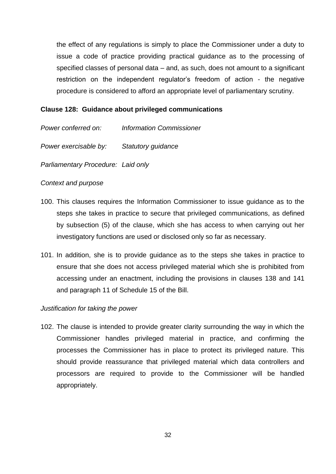the effect of any regulations is simply to place the Commissioner under a duty to issue a code of practice providing practical guidance as to the processing of specified classes of personal data – and, as such, does not amount to a significant restriction on the independent regulator's freedom of action - the negative procedure is considered to afford an appropriate level of parliamentary scrutiny.

## **Clause 128: Guidance about privileged communications**

*Power conferred on: Information Commissioner*

*Power exercisable by: Statutory guidance* 

*Parliamentary Procedure: Laid only*

## *Context and purpose*

- 100. This clauses requires the Information Commissioner to issue guidance as to the steps she takes in practice to secure that privileged communications, as defined by subsection (5) of the clause, which she has access to when carrying out her investigatory functions are used or disclosed only so far as necessary.
- 101. In addition, she is to provide guidance as to the steps she takes in practice to ensure that she does not access privileged material which she is prohibited from accessing under an enactment, including the provisions in clauses 138 and 141 and paragraph 11 of Schedule 15 of the Bill.

### *Justification for taking the power*

102. The clause is intended to provide greater clarity surrounding the way in which the Commissioner handles privileged material in practice, and confirming the processes the Commissioner has in place to protect its privileged nature. This should provide reassurance that privileged material which data controllers and processors are required to provide to the Commissioner will be handled appropriately.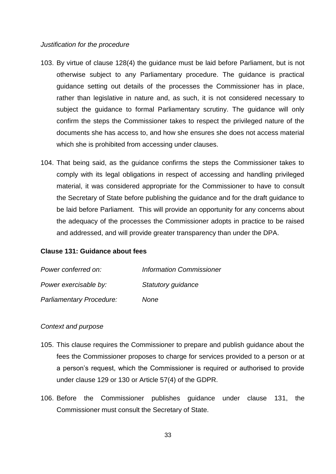#### *Justification for the procedure*

- 103. By virtue of clause 128(4) the guidance must be laid before Parliament, but is not otherwise subject to any Parliamentary procedure. The guidance is practical guidance setting out details of the processes the Commissioner has in place, rather than legislative in nature and, as such, it is not considered necessary to subject the guidance to formal Parliamentary scrutiny. The guidance will only confirm the steps the Commissioner takes to respect the privileged nature of the documents she has access to, and how she ensures she does not access material which she is prohibited from accessing under clauses.
- 104. That being said, as the guidance confirms the steps the Commissioner takes to comply with its legal obligations in respect of accessing and handling privileged material, it was considered appropriate for the Commissioner to have to consult the Secretary of State before publishing the guidance and for the draft guidance to be laid before Parliament. This will provide an opportunity for any concerns about the adequacy of the processes the Commissioner adopts in practice to be raised and addressed, and will provide greater transparency than under the DPA.

### **Clause 131: Guidance about fees**

| Power conferred on:      | <b>Information Commissioner</b> |
|--------------------------|---------------------------------|
| Power exercisable by:    | Statutory guidance              |
| Parliamentary Procedure: | None                            |

#### *Context and purpose*

- 105. This clause requires the Commissioner to prepare and publish guidance about the fees the Commissioner proposes to charge for services provided to a person or at a person's request, which the Commissioner is required or authorised to provide under clause 129 or 130 or Article 57(4) of the GDPR.
- 106. Before the Commissioner publishes guidance under clause 131, the Commissioner must consult the Secretary of State.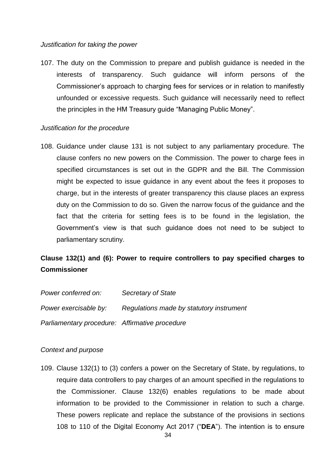#### *Justification for taking the power*

107. The duty on the Commission to prepare and publish guidance is needed in the interests of transparency. Such guidance will inform persons of the Commissioner's approach to charging fees for services or in relation to manifestly unfounded or excessive requests. Such guidance will necessarily need to reflect the principles in the HM Treasury guide "Managing Public Money".

#### *Justification for the procedure*

108. Guidance under clause 131 is not subject to any parliamentary procedure. The clause confers no new powers on the Commission. The power to charge fees in specified circumstances is set out in the GDPR and the Bill. The Commission might be expected to issue guidance in any event about the fees it proposes to charge, but in the interests of greater transparency this clause places an express duty on the Commission to do so. Given the narrow focus of the guidance and the fact that the criteria for setting fees is to be found in the legislation, the Government's view is that such guidance does not need to be subject to parliamentary scrutiny.

# **Clause 132(1) and (6): Power to require controllers to pay specified charges to Commissioner**

| Power conferred on:                            | Secretary of State                       |
|------------------------------------------------|------------------------------------------|
| Power exercisable by:                          | Regulations made by statutory instrument |
| Parliamentary procedure: Affirmative procedure |                                          |

### *Context and purpose*

109. Clause 132(1) to (3) confers a power on the Secretary of State, by regulations, to require data controllers to pay charges of an amount specified in the regulations to the Commissioner. Clause 132(6) enables regulations to be made about information to be provided to the Commissioner in relation to such a charge. These powers replicate and replace the substance of the provisions in sections 108 to 110 of the Digital Economy Act 2017 ("**DEA**"). The intention is to ensure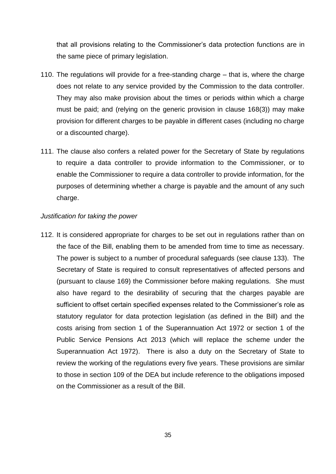that all provisions relating to the Commissioner's data protection functions are in the same piece of primary legislation.

- 110. The regulations will provide for a free-standing charge that is, where the charge does not relate to any service provided by the Commission to the data controller. They may also make provision about the times or periods within which a charge must be paid; and (relying on the generic provision in clause 168(3)) may make provision for different charges to be payable in different cases (including no charge or a discounted charge).
- 111. The clause also confers a related power for the Secretary of State by regulations to require a data controller to provide information to the Commissioner, or to enable the Commissioner to require a data controller to provide information, for the purposes of determining whether a charge is payable and the amount of any such charge.

### *Justification for taking the power*

112. It is considered appropriate for charges to be set out in regulations rather than on the face of the Bill, enabling them to be amended from time to time as necessary. The power is subject to a number of procedural safeguards (see clause 133). The Secretary of State is required to consult representatives of affected persons and (pursuant to clause 169) the Commissioner before making regulations. She must also have regard to the desirability of securing that the charges payable are sufficient to offset certain specified expenses related to the Commissioner's role as statutory regulator for data protection legislation (as defined in the Bill) and the costs arising from section 1 of the Superannuation Act 1972 or section 1 of the Public Service Pensions Act 2013 (which will replace the scheme under the Superannuation Act 1972). There is also a duty on the Secretary of State to review the working of the regulations every five years. These provisions are similar to those in section 109 of the DEA but include reference to the obligations imposed on the Commissioner as a result of the Bill.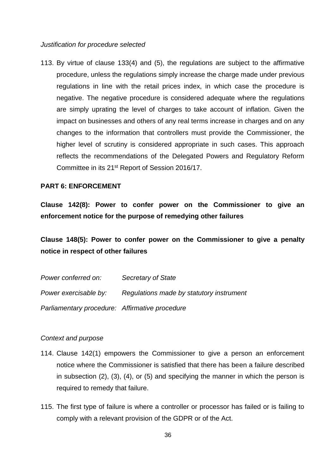*Justification for procedure selected*

113. By virtue of clause 133(4) and (5), the regulations are subject to the affirmative procedure, unless the regulations simply increase the charge made under previous regulations in line with the retail prices index, in which case the procedure is negative. The negative procedure is considered adequate where the regulations are simply uprating the level of charges to take account of inflation. Given the impact on businesses and others of any real terms increase in charges and on any changes to the information that controllers must provide the Commissioner, the higher level of scrutiny is considered appropriate in such cases. This approach reflects the recommendations of the Delegated Powers and Regulatory Reform Committee in its 21st Report of Session 2016/17.

### **PART 6: ENFORCEMENT**

**Clause 142(8): Power to confer power on the Commissioner to give an enforcement notice for the purpose of remedying other failures**

**Clause 148(5): Power to confer power on the Commissioner to give a penalty notice in respect of other failures**

| Power conferred on:                            | Secretary of State                       |
|------------------------------------------------|------------------------------------------|
| Power exercisable by:                          | Regulations made by statutory instrument |
| Parliamentary procedure: Affirmative procedure |                                          |

#### *Context and purpose*

- 114. Clause 142(1) empowers the Commissioner to give a person an enforcement notice where the Commissioner is satisfied that there has been a failure described in subsection (2), (3), (4), or (5) and specifying the manner in which the person is required to remedy that failure.
- 115. The first type of failure is where a controller or processor has failed or is failing to comply with a relevant provision of the GDPR or of the Act.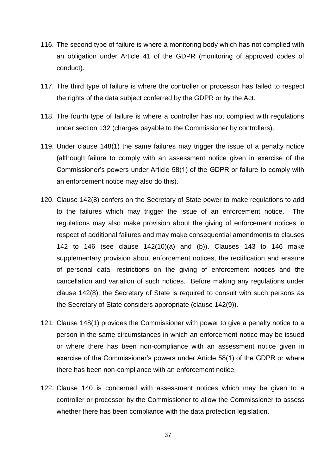- 116. The second type of failure is where a monitoring body which has not complied with an obligation under Article 41 of the GDPR (monitoring of approved codes of conduct).
- 117. The third type of failure is where the controller or processor has failed to respect the rights of the data subject conferred by the GDPR or by the Act.
- 118. The fourth type of failure is where a controller has not complied with regulations under section 132 (charges payable to the Commissioner by controllers).
- 119. Under clause 148(1) the same failures may trigger the issue of a penalty notice (although failure to comply with an assessment notice given in exercise of the Commissioner's powers under Article 58(1) of the GDPR or failure to comply with an enforcement notice may also do this).
- 120. Clause 142(8) confers on the Secretary of State power to make regulations to add to the failures which may trigger the issue of an enforcement notice. The regulations may also make provision about the giving of enforcement notices in respect of additional failures and may make consequential amendments to clauses 142 to 146 (see clause 142(10)(a) and (b)). Clauses 143 to 146 make supplementary provision about enforcement notices, the rectification and erasure of personal data, restrictions on the giving of enforcement notices and the cancellation and variation of such notices. Before making any regulations under clause 142(8), the Secretary of State is required to consult with such persons as the Secretary of State considers appropriate (clause 142(9)).
- 121. Clause 148(1) provides the Commissioner with power to give a penalty notice to a person in the same circumstances in which an enforcement notice may be issued or where there has been non-compliance with an assessment notice given in exercise of the Commissioner's powers under Article 58(1) of the GDPR or where there has been non-compliance with an enforcement notice.
- 122. Clause 140 is concerned with assessment notices which may be given to a controller or processor by the Commissioner to allow the Commissioner to assess whether there has been compliance with the data protection legislation.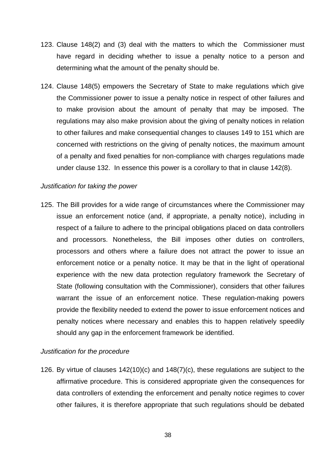- 123. Clause 148(2) and (3) deal with the matters to which the Commissioner must have regard in deciding whether to issue a penalty notice to a person and determining what the amount of the penalty should be.
- 124. Clause 148(5) empowers the Secretary of State to make regulations which give the Commissioner power to issue a penalty notice in respect of other failures and to make provision about the amount of penalty that may be imposed. The regulations may also make provision about the giving of penalty notices in relation to other failures and make consequential changes to clauses 149 to 151 which are concerned with restrictions on the giving of penalty notices, the maximum amount of a penalty and fixed penalties for non-compliance with charges regulations made under clause 132. In essence this power is a corollary to that in clause 142(8).

#### *Justification for taking the power*

125. The Bill provides for a wide range of circumstances where the Commissioner may issue an enforcement notice (and, if appropriate, a penalty notice), including in respect of a failure to adhere to the principal obligations placed on data controllers and processors. Nonetheless, the Bill imposes other duties on controllers, processors and others where a failure does not attract the power to issue an enforcement notice or a penalty notice. It may be that in the light of operational experience with the new data protection regulatory framework the Secretary of State (following consultation with the Commissioner), considers that other failures warrant the issue of an enforcement notice. These regulation-making powers provide the flexibility needed to extend the power to issue enforcement notices and penalty notices where necessary and enables this to happen relatively speedily should any gap in the enforcement framework be identified.

### *Justification for the procedure*

126. By virtue of clauses 142(10)(c) and 148(7)(c), these regulations are subject to the affirmative procedure. This is considered appropriate given the consequences for data controllers of extending the enforcement and penalty notice regimes to cover other failures, it is therefore appropriate that such regulations should be debated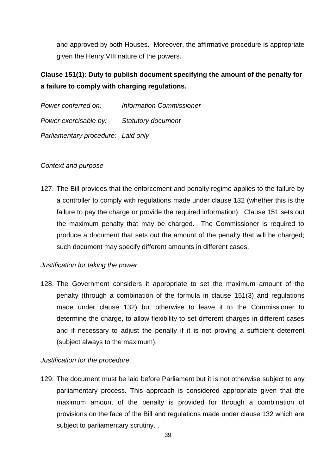and approved by both Houses. Moreover, the affirmative procedure is appropriate given the Henry VIII nature of the powers.

# **Clause 151(1): Duty to publish document specifying the amount of the penalty for a failure to comply with charging regulations.**

| Power conferred on:                | <b>Information Commissioner</b> |
|------------------------------------|---------------------------------|
| Power exercisable by:              | <b>Statutory document</b>       |
| Parliamentary procedure: Laid only |                                 |

# *Context and purpose*

127. The Bill provides that the enforcement and penalty regime applies to the failure by a controller to comply with regulations made under clause 132 (whether this is the failure to pay the charge or provide the required information). Clause 151 sets out the maximum penalty that may be charged. The Commissioner is required to produce a document that sets out the amount of the penalty that will be charged; such document may specify different amounts in different cases.

# *Justification for taking the power*

128. The Government considers it appropriate to set the maximum amount of the penalty (through a combination of the formula in clause 151(3) and regulations made under clause 132) but otherwise to leave it to the Commissioner to determine the charge, to allow flexibility to set different charges in different cases and if necessary to adjust the penalty if it is not proving a sufficient deterrent (subject always to the maximum).

# *Justification for the procedure*

129. The document must be laid before Parliament but it is not otherwise subject to any parliamentary process. This approach is considered appropriate given that the maximum amount of the penalty is provided for through a combination of provisions on the face of the Bill and regulations made under clause 132 which are subject to parliamentary scrutiny. .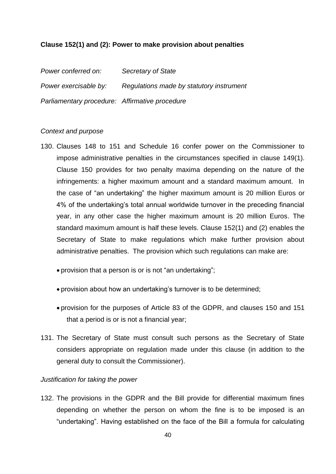### **Clause 152(1) and (2): Power to make provision about penalties**

*Power conferred on: Secretary of State Power exercisable by: Regulations made by statutory instrument Parliamentary procedure: Affirmative procedure*

#### *Context and purpose*

- 130. Clauses 148 to 151 and Schedule 16 confer power on the Commissioner to impose administrative penalties in the circumstances specified in clause 149(1). Clause 150 provides for two penalty maxima depending on the nature of the infringements: a higher maximum amount and a standard maximum amount. In the case of "an undertaking" the higher maximum amount is 20 million Euros or 4% of the undertaking's total annual worldwide turnover in the preceding financial year, in any other case the higher maximum amount is 20 million Euros. The standard maximum amount is half these levels. Clause 152(1) and (2) enables the Secretary of State to make regulations which make further provision about administrative penalties. The provision which such regulations can make are:
	- provision that a person is or is not "an undertaking";
	- provision about how an undertaking's turnover is to be determined;
	- provision for the purposes of Article 83 of the GDPR, and clauses 150 and 151 that a period is or is not a financial year;
- 131. The Secretary of State must consult such persons as the Secretary of State considers appropriate on regulation made under this clause (in addition to the general duty to consult the Commissioner).

### *Justification for taking the power*

132. The provisions in the GDPR and the Bill provide for differential maximum fines depending on whether the person on whom the fine is to be imposed is an "undertaking". Having established on the face of the Bill a formula for calculating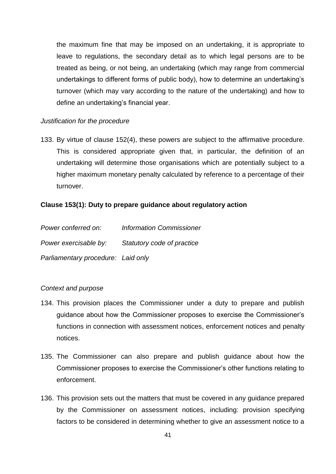the maximum fine that may be imposed on an undertaking, it is appropriate to leave to regulations, the secondary detail as to which legal persons are to be treated as being, or not being, an undertaking (which may range from commercial undertakings to different forms of public body), how to determine an undertaking's turnover (which may vary according to the nature of the undertaking) and how to define an undertaking's financial year.

#### *Justification for the procedure*

133. By virtue of clause 152(4), these powers are subject to the affirmative procedure. This is considered appropriate given that, in particular, the definition of an undertaking will determine those organisations which are potentially subject to a higher maximum monetary penalty calculated by reference to a percentage of their turnover.

#### **Clause 153(1): Duty to prepare guidance about regulatory action**

| Power conferred on:                | <b>Information Commissioner</b> |
|------------------------------------|---------------------------------|
| Power exercisable by:              | Statutory code of practice      |
| Parliamentary procedure: Laid only |                                 |

### *Context and purpose*

- 134. This provision places the Commissioner under a duty to prepare and publish guidance about how the Commissioner proposes to exercise the Commissioner's functions in connection with assessment notices, enforcement notices and penalty notices.
- 135. The Commissioner can also prepare and publish guidance about how the Commissioner proposes to exercise the Commissioner's other functions relating to enforcement.
- 136. This provision sets out the matters that must be covered in any guidance prepared by the Commissioner on assessment notices, including: provision specifying factors to be considered in determining whether to give an assessment notice to a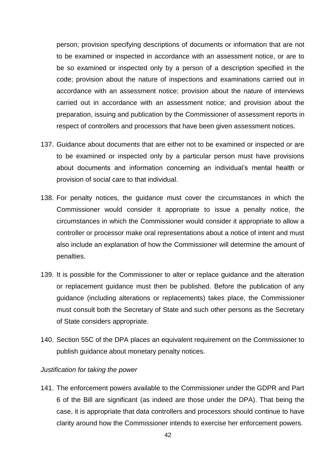person; provision specifying descriptions of documents or information that are not to be examined or inspected in accordance with an assessment notice, or are to be so examined or inspected only by a person of a description specified in the code; provision about the nature of inspections and examinations carried out in accordance with an assessment notice; provision about the nature of interviews carried out in accordance with an assessment notice; and provision about the preparation, issuing and publication by the Commissioner of assessment reports in respect of controllers and processors that have been given assessment notices.

- 137. Guidance about documents that are either not to be examined or inspected or are to be examined or inspected only by a particular person must have provisions about documents and information concerning an individual's mental health or provision of social care to that individual.
- 138. For penalty notices, the guidance must cover the circumstances in which the Commissioner would consider it appropriate to issue a penalty notice, the circumstances in which the Commissioner would consider it appropriate to allow a controller or processor make oral representations about a notice of intent and must also include an explanation of how the Commissioner will determine the amount of penalties.
- 139. It is possible for the Commissioner to alter or replace guidance and the alteration or replacement guidance must then be published. Before the publication of any guidance (including alterations or replacements) takes place, the Commissioner must consult both the Secretary of State and such other persons as the Secretary of State considers appropriate.
- 140. Section 55C of the DPA places an equivalent requirement on the Commissioner to publish guidance about monetary penalty notices.

### *Justification for taking the power*

141. The enforcement powers available to the Commissioner under the GDPR and Part 6 of the Bill are significant (as indeed are those under the DPA). That being the case, it is appropriate that data controllers and processors should continue to have clarity around how the Commissioner intends to exercise her enforcement powers.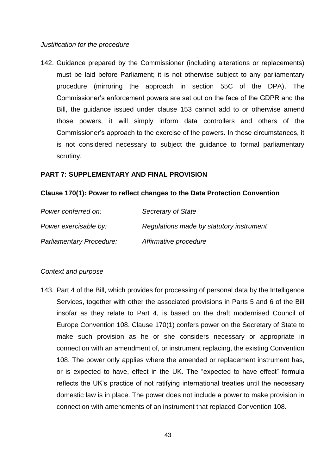#### *Justification for the procedure*

142. Guidance prepared by the Commissioner (including alterations or replacements) must be laid before Parliament; it is not otherwise subject to any parliamentary procedure (mirroring the approach in section 55C of the DPA). The Commissioner's enforcement powers are set out on the face of the GDPR and the Bill, the guidance issued under clause 153 cannot add to or otherwise amend those powers, it will simply inform data controllers and others of the Commissioner's approach to the exercise of the powers. In these circumstances, it is not considered necessary to subject the guidance to formal parliamentary scrutiny.

#### **PART 7: SUPPLEMENTARY AND FINAL PROVISION**

#### **Clause 170(1): Power to reflect changes to the Data Protection Convention**

| Power conferred on:             | <b>Secretary of State</b>                |
|---------------------------------|------------------------------------------|
| Power exercisable by:           | Regulations made by statutory instrument |
| <b>Parliamentary Procedure:</b> | Affirmative procedure                    |

### *Context and purpose*

143. Part 4 of the Bill, which provides for processing of personal data by the Intelligence Services, together with other the associated provisions in Parts 5 and 6 of the Bill insofar as they relate to Part 4, is based on the draft modernised Council of Europe Convention 108. Clause 170(1) confers power on the Secretary of State to make such provision as he or she considers necessary or appropriate in connection with an amendment of, or instrument replacing, the existing Convention 108. The power only applies where the amended or replacement instrument has, or is expected to have, effect in the UK. The "expected to have effect" formula reflects the UK's practice of not ratifying international treaties until the necessary domestic law is in place. The power does not include a power to make provision in connection with amendments of an instrument that replaced Convention 108.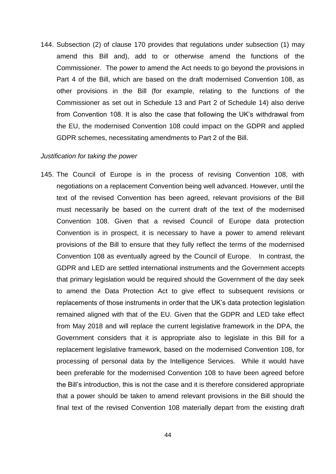144. Subsection (2) of clause 170 provides that regulations under subsection (1) may amend this Bill and), add to or otherwise amend the functions of the Commissioner. The power to amend the Act needs to go beyond the provisions in Part 4 of the Bill, which are based on the draft modernised Convention 108, as other provisions in the Bill (for example, relating to the functions of the Commissioner as set out in Schedule 13 and Part 2 of Schedule 14) also derive from Convention 108. It is also the case that following the UK's withdrawal from the EU, the modernised Convention 108 could impact on the GDPR and applied GDPR schemes, necessitating amendments to Part 2 of the Bill.

#### *Justification for taking the power*

145. The Council of Europe is in the process of revising Convention 108, with negotiations on a replacement Convention being well advanced. However, until the text of the revised Convention has been agreed, relevant provisions of the Bill must necessarily be based on the current draft of the text of the modernised Convention 108. Given that a revised Council of Europe data protection Convention is in prospect, it is necessary to have a power to amend relevant provisions of the Bill to ensure that they fully reflect the terms of the modernised Convention 108 as eventually agreed by the Council of Europe. In contrast, the GDPR and LED are settled international instruments and the Government accepts that primary legislation would be required should the Government of the day seek to amend the Data Protection Act to give effect to subsequent revisions or replacements of those instruments in order that the UK's data protection legislation remained aligned with that of the EU. Given that the GDPR and LED take effect from May 2018 and will replace the current legislative framework in the DPA, the Government considers that it is appropriate also to legislate in this Bill for a replacement legislative framework, based on the modernised Convention 108, for processing of personal data by the Intelligence Services. While it would have been preferable for the modernised Convention 108 to have been agreed before the Bill's introduction, this is not the case and it is therefore considered appropriate that a power should be taken to amend relevant provisions in the Bill should the final text of the revised Convention 108 materially depart from the existing draft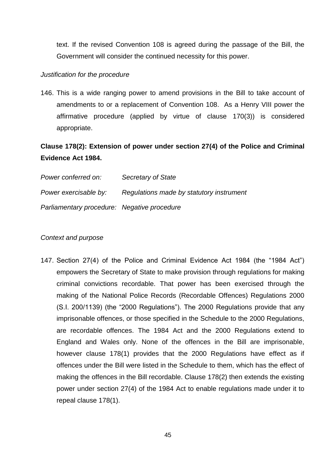text. If the revised Convention 108 is agreed during the passage of the Bill, the Government will consider the continued necessity for this power.

### *Justification for the procedure*

146. This is a wide ranging power to amend provisions in the Bill to take account of amendments to or a replacement of Convention 108. As a Henry VIII power the affirmative procedure (applied by virtue of clause 170(3)) is considered appropriate.

# **Clause 178(2): Extension of power under section 27(4) of the Police and Criminal Evidence Act 1984.**

| Power conferred on:                         | <b>Secretary of State</b>                |
|---------------------------------------------|------------------------------------------|
| Power exercisable by:                       | Regulations made by statutory instrument |
| Parliamentary procedure: Negative procedure |                                          |

## *Context and purpose*

147. Section 27(4) of the Police and Criminal Evidence Act 1984 (the "1984 Act") empowers the Secretary of State to make provision through regulations for making criminal convictions recordable. That power has been exercised through the making of the National Police Records (Recordable Offences) Regulations 2000 (S.I. 200/1139) (the "2000 Regulations"). The 2000 Regulations provide that any imprisonable offences, or those specified in the Schedule to the 2000 Regulations, are recordable offences. The 1984 Act and the 2000 Regulations extend to England and Wales only. None of the offences in the Bill are imprisonable, however clause 178(1) provides that the 2000 Regulations have effect as if offences under the Bill were listed in the Schedule to them, which has the effect of making the offences in the Bill recordable. Clause 178(2) then extends the existing power under section 27(4) of the 1984 Act to enable regulations made under it to repeal clause 178(1).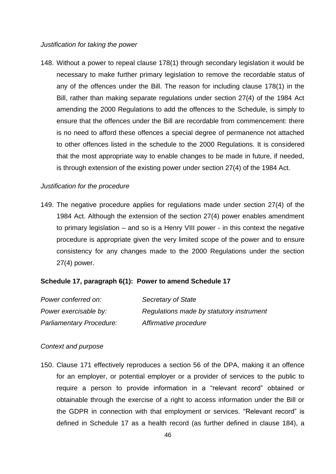#### *Justification for taking the power*

148. Without a power to repeal clause 178(1) through secondary legislation it would be necessary to make further primary legislation to remove the recordable status of any of the offences under the Bill. The reason for including clause 178(1) in the Bill, rather than making separate regulations under section 27(4) of the 1984 Act amending the 2000 Regulations to add the offences to the Schedule, is simply to ensure that the offences under the Bill are recordable from commencement: there is no need to afford these offences a special degree of permanence not attached to other offences listed in the schedule to the 2000 Regulations. It is considered that the most appropriate way to enable changes to be made in future, if needed, is through extension of the existing power under section 27(4) of the 1984 Act.

#### *Justification for the procedure*

149. The negative procedure applies for regulations made under section 27(4) of the 1984 Act. Although the extension of the section 27(4) power enables amendment to primary legislation – and so is a Henry VIII power - in this context the negative procedure is appropriate given the very limited scope of the power and to ensure consistency for any changes made to the 2000 Regulations under the section 27(4) power.

### **Schedule 17, paragraph 6(1): Power to amend Schedule 17**

| Power conferred on:             | Secretary of State                       |
|---------------------------------|------------------------------------------|
| Power exercisable by:           | Regulations made by statutory instrument |
| <b>Parliamentary Procedure:</b> | Affirmative procedure                    |

#### *Context and purpose*

150. Clause 171 effectively reproduces a section 56 of the DPA, making it an offence for an employer, or potential employer or a provider of services to the public to require a person to provide information in a "relevant record" obtained or obtainable through the exercise of a right to access information under the Bill or the GDPR in connection with that employment or services. "Relevant record" is defined in Schedule 17 as a health record (as further defined in clause 184), a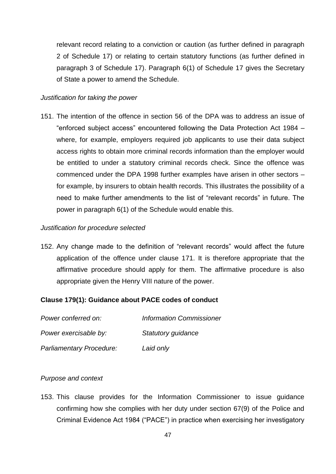relevant record relating to a conviction or caution (as further defined in paragraph 2 of Schedule 17) or relating to certain statutory functions (as further defined in paragraph 3 of Schedule 17). Paragraph 6(1) of Schedule 17 gives the Secretary of State a power to amend the Schedule.

#### *Justification for taking the power*

151. The intention of the offence in section 56 of the DPA was to address an issue of "enforced subject access" encountered following the Data Protection Act 1984 – where, for example, employers required job applicants to use their data subject access rights to obtain more criminal records information than the employer would be entitled to under a statutory criminal records check. Since the offence was commenced under the DPA 1998 further examples have arisen in other sectors – for example, by insurers to obtain health records. This illustrates the possibility of a need to make further amendments to the list of "relevant records" in future. The power in paragraph 6(1) of the Schedule would enable this.

#### *Justification for procedure selected*

152. Any change made to the definition of "relevant records" would affect the future application of the offence under clause 171. It is therefore appropriate that the affirmative procedure should apply for them. The affirmative procedure is also appropriate given the Henry VIII nature of the power.

### **Clause 179(1): Guidance about PACE codes of conduct**

| Power conferred on:             | <b>Information Commissioner</b> |
|---------------------------------|---------------------------------|
| Power exercisable by:           | Statutory guidance              |
| <b>Parliamentary Procedure:</b> | Laid only                       |

# *Purpose and context*

153. This clause provides for the Information Commissioner to issue guidance confirming how she complies with her duty under section 67(9) of the Police and Criminal Evidence Act 1984 ("PACE") in practice when exercising her investigatory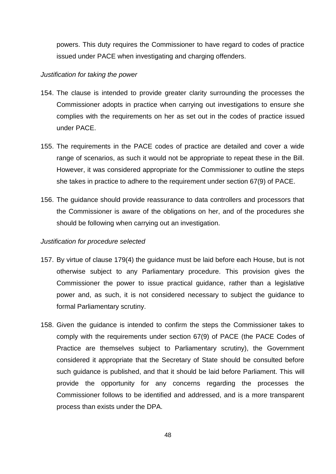powers. This duty requires the Commissioner to have regard to codes of practice issued under PACE when investigating and charging offenders.

#### *Justification for taking the power*

- 154. The clause is intended to provide greater clarity surrounding the processes the Commissioner adopts in practice when carrying out investigations to ensure she complies with the requirements on her as set out in the codes of practice issued under PACE.
- 155. The requirements in the PACE codes of practice are detailed and cover a wide range of scenarios, as such it would not be appropriate to repeat these in the Bill. However, it was considered appropriate for the Commissioner to outline the steps she takes in practice to adhere to the requirement under section 67(9) of PACE.
- 156. The guidance should provide reassurance to data controllers and processors that the Commissioner is aware of the obligations on her, and of the procedures she should be following when carrying out an investigation.

#### *Justification for procedure selected*

- 157. By virtue of clause 179(4) the guidance must be laid before each House, but is not otherwise subject to any Parliamentary procedure. This provision gives the Commissioner the power to issue practical guidance, rather than a legislative power and, as such, it is not considered necessary to subject the guidance to formal Parliamentary scrutiny.
- 158. Given the guidance is intended to confirm the steps the Commissioner takes to comply with the requirements under section 67(9) of PACE (the PACE Codes of Practice are themselves subject to Parliamentary scrutiny), the Government considered it appropriate that the Secretary of State should be consulted before such guidance is published, and that it should be laid before Parliament. This will provide the opportunity for any concerns regarding the processes the Commissioner follows to be identified and addressed, and is a more transparent process than exists under the DPA.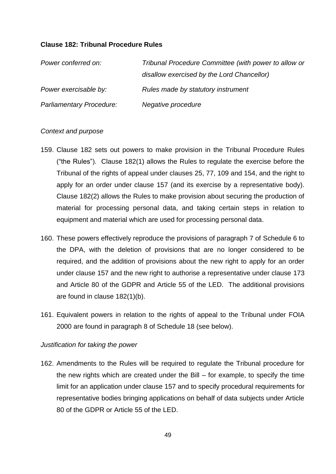## **Clause 182: Tribunal Procedure Rules**

| Power conferred on:      | Tribunal Procedure Committee (with power to allow or |
|--------------------------|------------------------------------------------------|
|                          | disallow exercised by the Lord Chancellor)           |
| Power exercisable by:    | Rules made by statutory instrument                   |
| Parliamentary Procedure: | Negative procedure                                   |

### *Context and purpose*

- 159. Clause 182 sets out powers to make provision in the Tribunal Procedure Rules ("the Rules"). Clause 182(1) allows the Rules to regulate the exercise before the Tribunal of the rights of appeal under clauses 25, 77, 109 and 154, and the right to apply for an order under clause 157 (and its exercise by a representative body). Clause 182(2) allows the Rules to make provision about securing the production of material for processing personal data, and taking certain steps in relation to equipment and material which are used for processing personal data.
- 160. These powers effectively reproduce the provisions of paragraph 7 of Schedule 6 to the DPA, with the deletion of provisions that are no longer considered to be required, and the addition of provisions about the new right to apply for an order under clause 157 and the new right to authorise a representative under clause 173 and Article 80 of the GDPR and Article 55 of the LED. The additional provisions are found in clause 182(1)(b).
- 161. Equivalent powers in relation to the rights of appeal to the Tribunal under FOIA 2000 are found in paragraph 8 of Schedule 18 (see below).

### *Justification for taking the power*

162. Amendments to the Rules will be required to regulate the Tribunal procedure for the new rights which are created under the Bill – for example, to specify the time limit for an application under clause 157 and to specify procedural requirements for representative bodies bringing applications on behalf of data subjects under Article 80 of the GDPR or Article 55 of the LED.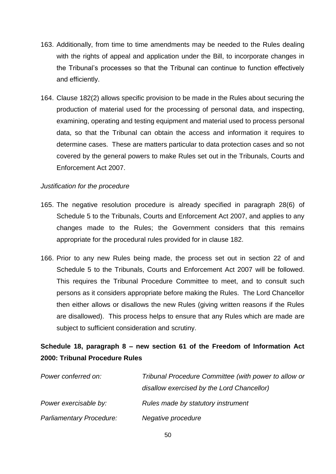- 163. Additionally, from time to time amendments may be needed to the Rules dealing with the rights of appeal and application under the Bill, to incorporate changes in the Tribunal's processes so that the Tribunal can continue to function effectively and efficiently.
- 164. Clause 182(2) allows specific provision to be made in the Rules about securing the production of material used for the processing of personal data, and inspecting, examining, operating and testing equipment and material used to process personal data, so that the Tribunal can obtain the access and information it requires to determine cases. These are matters particular to data protection cases and so not covered by the general powers to make Rules set out in the Tribunals, Courts and Enforcement Act 2007.

# *Justification for the procedure*

- 165. The negative resolution procedure is already specified in paragraph 28(6) of Schedule 5 to the Tribunals, Courts and Enforcement Act 2007, and applies to any changes made to the Rules; the Government considers that this remains appropriate for the procedural rules provided for in clause 182.
- 166. Prior to any new Rules being made, the process set out in section 22 of and Schedule 5 to the Tribunals, Courts and Enforcement Act 2007 will be followed. This requires the Tribunal Procedure Committee to meet, and to consult such persons as it considers appropriate before making the Rules. The Lord Chancellor then either allows or disallows the new Rules (giving written reasons if the Rules are disallowed). This process helps to ensure that any Rules which are made are subject to sufficient consideration and scrutiny.

# **Schedule 18, paragraph 8 – new section 61 of the Freedom of Information Act 2000: Tribunal Procedure Rules**

| Power conferred on:      | Tribunal Procedure Committee (with power to allow or |
|--------------------------|------------------------------------------------------|
|                          | disallow exercised by the Lord Chancellor)           |
| Power exercisable by:    | Rules made by statutory instrument                   |
| Parliamentary Procedure: | Negative procedure                                   |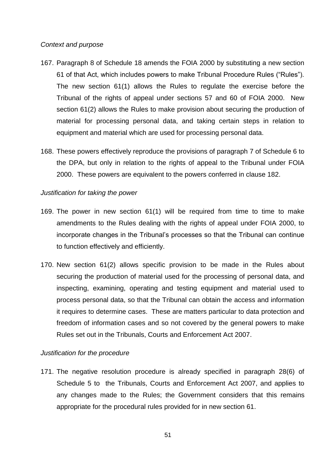## *Context and purpose*

- 167. Paragraph 8 of Schedule 18 amends the FOIA 2000 by substituting a new section 61 of that Act, which includes powers to make Tribunal Procedure Rules ("Rules"). The new section 61(1) allows the Rules to regulate the exercise before the Tribunal of the rights of appeal under sections 57 and 60 of FOIA 2000. New section 61(2) allows the Rules to make provision about securing the production of material for processing personal data, and taking certain steps in relation to equipment and material which are used for processing personal data.
- 168. These powers effectively reproduce the provisions of paragraph 7 of Schedule 6 to the DPA, but only in relation to the rights of appeal to the Tribunal under FOIA 2000. These powers are equivalent to the powers conferred in clause 182.

## *Justification for taking the power*

- 169. The power in new section 61(1) will be required from time to time to make amendments to the Rules dealing with the rights of appeal under FOIA 2000, to incorporate changes in the Tribunal's processes so that the Tribunal can continue to function effectively and efficiently.
- 170. New section 61(2) allows specific provision to be made in the Rules about securing the production of material used for the processing of personal data, and inspecting, examining, operating and testing equipment and material used to process personal data, so that the Tribunal can obtain the access and information it requires to determine cases. These are matters particular to data protection and freedom of information cases and so not covered by the general powers to make Rules set out in the Tribunals, Courts and Enforcement Act 2007.

# *Justification for the procedure*

171. The negative resolution procedure is already specified in paragraph 28(6) of Schedule 5 to the Tribunals, Courts and Enforcement Act 2007, and applies to any changes made to the Rules; the Government considers that this remains appropriate for the procedural rules provided for in new section 61.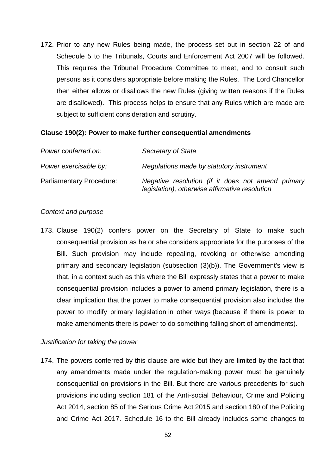172. Prior to any new Rules being made, the process set out in section 22 of and Schedule 5 to the Tribunals, Courts and Enforcement Act 2007 will be followed. This requires the Tribunal Procedure Committee to meet, and to consult such persons as it considers appropriate before making the Rules. The Lord Chancellor then either allows or disallows the new Rules (giving written reasons if the Rules are disallowed). This process helps to ensure that any Rules which are made are subject to sufficient consideration and scrutiny.

### **Clause 190(2): Power to make further consequential amendments**

| Power conferred on:             | Secretary of State                                                                                  |
|---------------------------------|-----------------------------------------------------------------------------------------------------|
| Power exercisable by:           | Regulations made by statutory instrument                                                            |
| <b>Parliamentary Procedure:</b> | Negative resolution (if it does not amend primary<br>legislation), otherwise affirmative resolution |

#### *Context and purpose*

173. Clause 190(2) confers power on the Secretary of State to make such consequential provision as he or she considers appropriate for the purposes of the Bill. Such provision may include repealing, revoking or otherwise amending primary and secondary legislation (subsection (3)(b)). The Government's view is that, in a context such as this where the Bill expressly states that a power to make consequential provision includes a power to amend primary legislation, there is a clear implication that the power to make consequential provision also includes the power to modify primary legislation in other ways (because if there is power to make amendments there is power to do something falling short of amendments).

## *Justification for taking the power*

174. The powers conferred by this clause are wide but they are limited by the fact that any amendments made under the regulation-making power must be genuinely consequential on provisions in the Bill. But there are various precedents for such provisions including section 181 of the Anti-social Behaviour, Crime and Policing Act 2014, section 85 of the Serious Crime Act 2015 and section 180 of the Policing and Crime Act 2017. Schedule 16 to the Bill already includes some changes to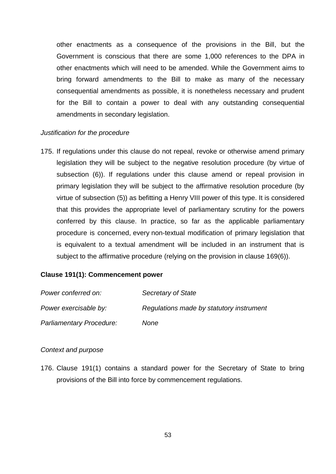other enactments as a consequence of the provisions in the Bill, but the Government is conscious that there are some 1,000 references to the DPA in other enactments which will need to be amended. While the Government aims to bring forward amendments to the Bill to make as many of the necessary consequential amendments as possible, it is nonetheless necessary and prudent for the Bill to contain a power to deal with any outstanding consequential amendments in secondary legislation.

### *Justification for the procedure*

175. If regulations under this clause do not repeal, revoke or otherwise amend primary legislation they will be subject to the negative resolution procedure (by virtue of subsection (6)). If regulations under this clause amend or repeal provision in primary legislation they will be subject to the affirmative resolution procedure (by virtue of subsection (5)) as befitting a Henry VIII power of this type. It is considered that this provides the appropriate level of parliamentary scrutiny for the powers conferred by this clause. In practice, so far as the applicable parliamentary procedure is concerned, every non-textual modification of primary legislation that is equivalent to a textual amendment will be included in an instrument that is subject to the affirmative procedure (relying on the provision in clause 169(6)).

## **Clause 191(1): Commencement power**

| Power conferred on:             | Secretary of State                       |
|---------------------------------|------------------------------------------|
| Power exercisable by:           | Regulations made by statutory instrument |
| <b>Parliamentary Procedure:</b> | None                                     |

### *Context and purpose*

176. Clause 191(1) contains a standard power for the Secretary of State to bring provisions of the Bill into force by commencement regulations.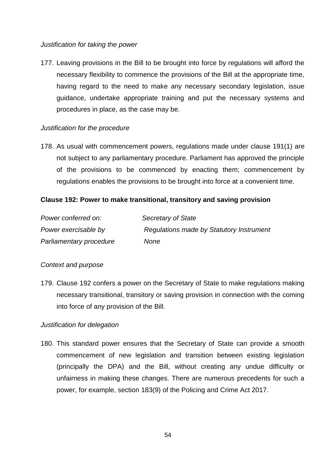## *Justification for taking the power*

177. Leaving provisions in the Bill to be brought into force by regulations will afford the necessary flexibility to commence the provisions of the Bill at the appropriate time, having regard to the need to make any necessary secondary legislation, issue guidance, undertake appropriate training and put the necessary systems and procedures in place, as the case may be.

# *Justification for the procedure*

178. As usual with commencement powers, regulations made under clause 191(1) are not subject to any parliamentary procedure. Parliament has approved the principle of the provisions to be commenced by enacting them; commencement by regulations enables the provisions to be brought into force at a convenient time.

# **Clause 192: Power to make transitional, transitory and saving provision**

| Power conferred on:     | Secretary of State                       |
|-------------------------|------------------------------------------|
| Power exercisable by    | Regulations made by Statutory Instrument |
| Parliamentary procedure | None                                     |

# *Context and purpose*

179. Clause 192 confers a power on the Secretary of State to make regulations making necessary transitional, transitory or saving provision in connection with the coming into force of any provision of the Bill.

# *Justification for delegation*

180. This standard power ensures that the Secretary of State can provide a smooth commencement of new legislation and transition between existing legislation (principally the DPA) and the Bill, without creating any undue difficulty or unfairness in making these changes. There are numerous precedents for such a power, for example, section 183(9) of the Policing and Crime Act 2017.